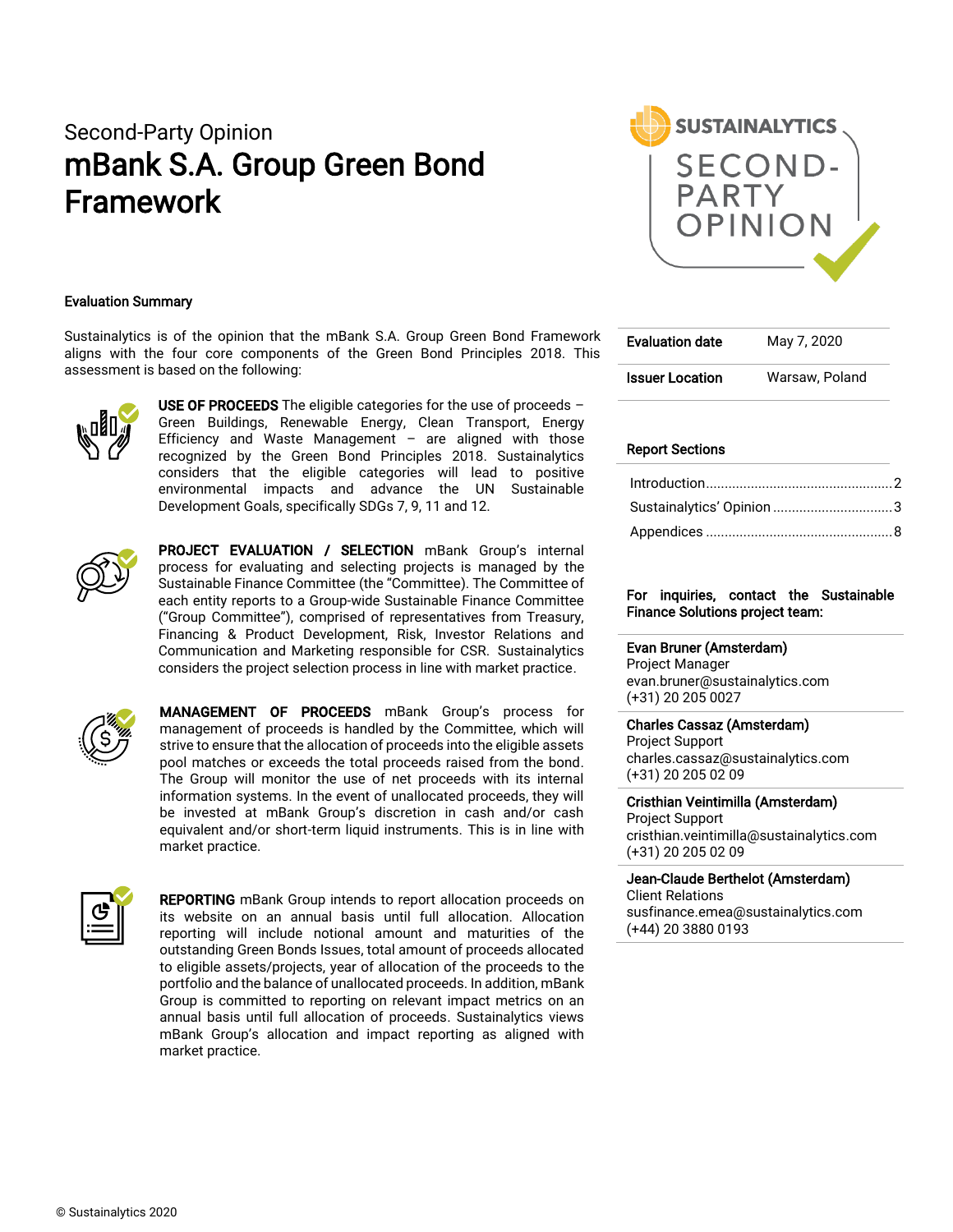# Second-Party Opinion mBank S.A. Group Green Bond Framework



#### Evaluation Summary

Sustainalytics is of the opinion that the mBank S.A. Group Green Bond Framework aligns with the four core components of the Green Bond Principles 2018. This assessment is based on the following:



USE OF PROCEEDS The eligible categories for the use of proceeds  $-$ Green Buildings, Renewable Energy, Clean Transport, Energy Efficiency and Waste Management  $-$  are aligned with those recognized by the Green Bond Principles 2018. Sustainalytics considers that the eligible categories will lead to positive environmental impacts and advance the UN Sustainable Development Goals, specifically SDGs 7, 9, 11 and 12.



**PROJECT EVALUATION / SELECTION** mBank Group's internal process for evaluating and selecting projects is managed by the Sustainable Finance Committee (the "Committee). The Committee of each entity reports to a Group-wide Sustainable Finance Committee ("Group Committee"), comprised of representatives from Treasury, Financing & Product Development, Risk, Investor Relations and Communication and Marketing responsible for CSR. Sustainalytics considers the project selection process in line with market practice.



MANAGEMENT OF PROCEEDS mBank Group's process for management of proceeds is handled by the Committee, which will strive to ensure that the allocation of proceeds into the eligible assets pool matches or exceeds the total proceeds raised from the bond. The Group will monitor the use of net proceeds with its internal information systems. In the event of unallocated proceeds, they will be invested at mBank Group's discretion in cash and/or cash equivalent and/or short-term liquid instruments. This is in line with market practice.



**REPORTING** mBank Group intends to report allocation proceeds on its website on an annual basis until full allocation. Allocation reporting will include notional amount and maturities of the outstanding Green Bonds Issues, total amount of proceeds allocated to eligible assets/projects, year of allocation of the proceeds to the portfolio and the balance of unallocated proceeds. In addition, mBank Group is committed to reporting on relevant impact metrics on an annual basis until full allocation of proceeds. Sustainalytics views mBank Group's allocation and impact reporting as aligned with market practice.

| <b>Evaluation date</b> | May 7, 2020    |  |  |
|------------------------|----------------|--|--|
| <b>Issuer Location</b> | Warsaw, Poland |  |  |

#### Report Sections

| Sustainalytics' Opinion 3 |  |
|---------------------------|--|
|                           |  |

#### For inquiries, contact the Sustainable Finance Solutions project team:

#### Evan Bruner (Amsterdam)

Project Manager evan.bruner@sustainalytics.com (+31) 20 205 0027

#### Charles Cassaz (Amsterdam)

Project Support charles.cassaz@sustainalytics.com (+31) 20 205 02 09

Cristhian Veintimilla (Amsterdam) Project Support cristhian.veintimilla@sustainalytics.com (+31) 20 205 02 09

#### Jean-Claude Berthelot (Amsterdam)

Client Relations susfinance.emea@sustainalytics.com (+44) 20 3880 0193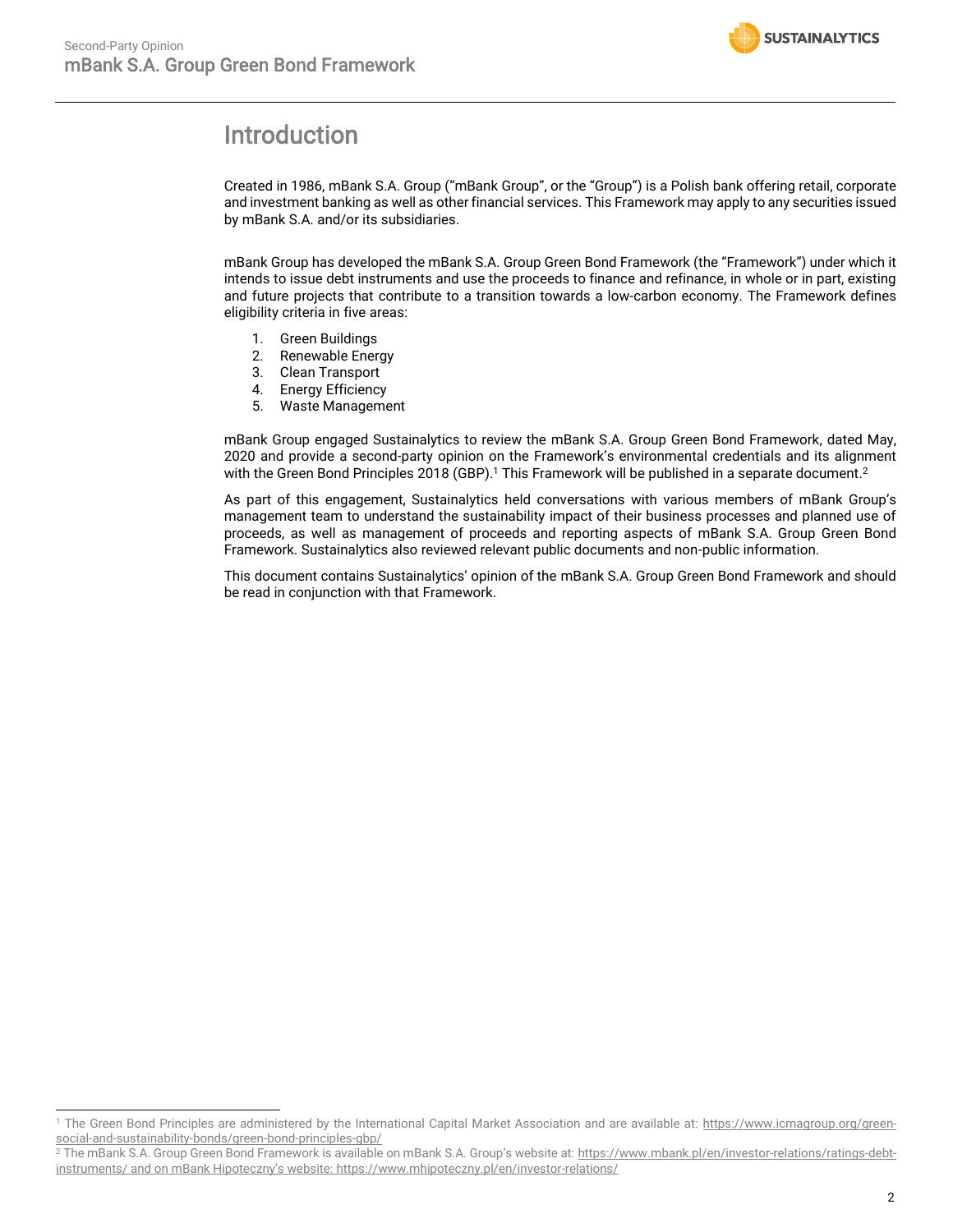<span id="page-1-1"></span>

# <span id="page-1-0"></span>Introduction

Created in 1986, mBank S.A. Group ("mBank Group", or the "Group") is a Polish bank offering retail, corporate and investment banking as well as other financial services. This Framework may apply to any securities issued by mBank S.A. and/or its subsidiaries.

mBank Group has developed the mBank S.A. Group Green Bond Framework (the "Framework") under which it intends to issue debt instruments and use the proceeds to finance and refinance, in whole or in part, existing and future projects that contribute to a transition towards a low-carbon economy. The Framework defines eligibility criteria in five areas:

- 1. Green Buildings
- 2. Renewable Energy
- 3. Clean Transport
- 4. Energy Efficiency
- 5. Waste Management

mBank Group engaged Sustainalytics to review the mBank S.A. Group Green Bond Framework, dated May, 2020 and provide a second-party opinion on the Framework's environmental credentials and its alignment with the Green Bond Principles 2018 (GBP). <sup>1</sup> This Framework will be published in a separate document. 2

As part of this engagement, Sustainalytics held conversations with various members of mBank Group's management team to understand the sustainability impact of their business processes and planned use of proceeds, as well as management of proceeds and reporting aspects of mBank S.A. Group Green Bond Framework. Sustainalytics also reviewed relevant public documents and non-public information.

This document contains Sustainalytics' opinion of the mBank S.A. Group Green Bond Framework and should be read in conjunction with that Framework.

<sup>&</sup>lt;sup>1</sup> The Green Bond Principles are administered by the International Capital Market Association and are available at: [https://www.icmagroup.org/green](https://www.icmagroup.org/green-social-and-sustainability-bonds/green-bond-principles-gbp/)[social-and-sustainability-bonds/green-bond-principles-gbp/](https://www.icmagroup.org/green-social-and-sustainability-bonds/green-bond-principles-gbp/)

<sup>2</sup> The mBank S.A. Group Green Bond Framework is available on mBank S.A. Group's website at: [https://www.mbank.pl/en/investor-relations/ratings-debt](https://www.mbank.pl/en/investor-relations/ratings-debt-instruments/)[instruments/](https://www.mbank.pl/en/investor-relations/ratings-debt-instruments/) and on mBank Hipoteczny's website: <https://www.mhipoteczny.pl/en/investor-relations/>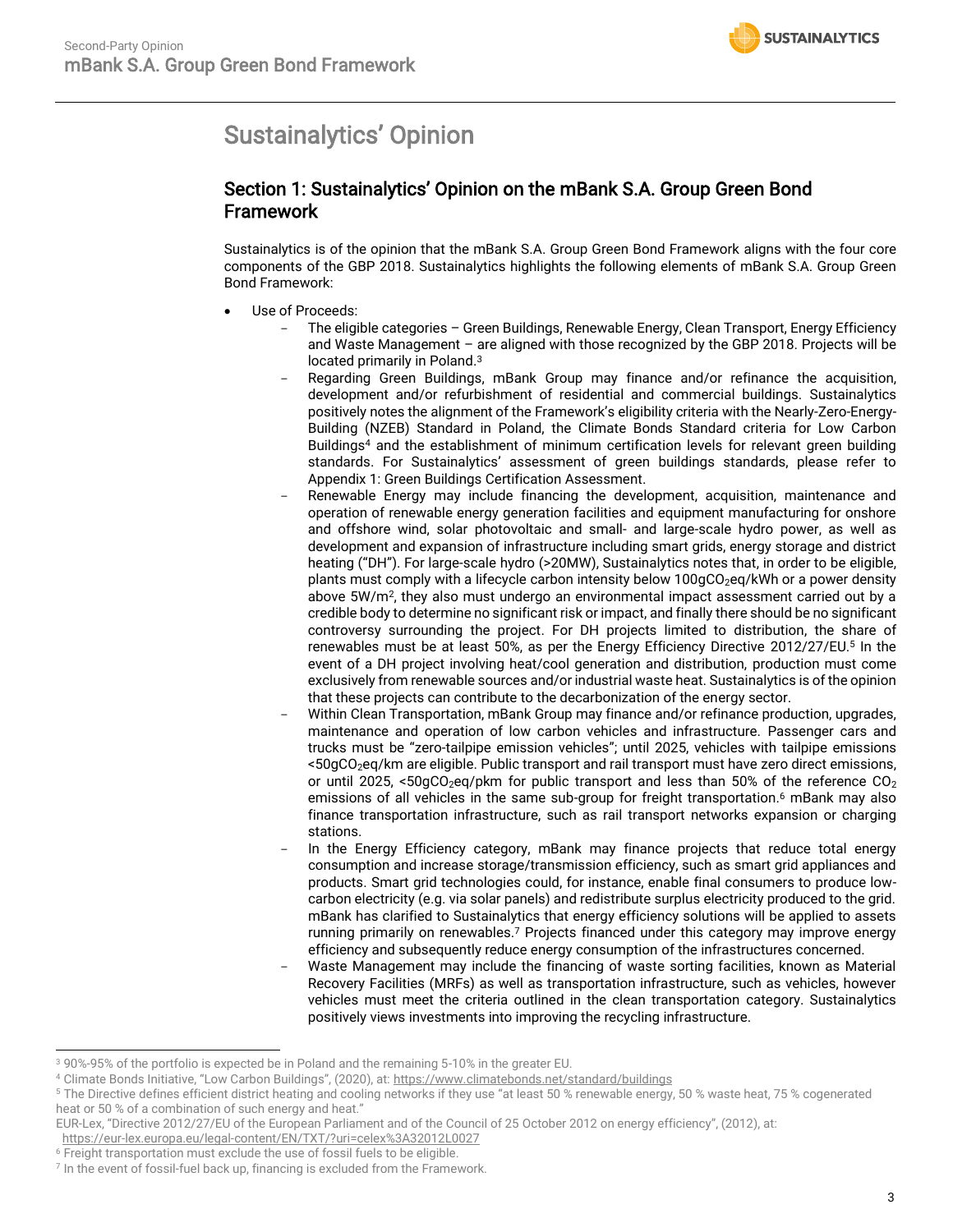# <span id="page-2-0"></span>Sustainalytics' Opinion

### Section 1: Sustainalytics' Opinion on the mBank S.A. Group Green Bond Framework

Sustainalytics is of the opinion that the mBank S.A. Group Green Bond Framework aligns with the four core components of the GBP 2018. Sustainalytics highlights the following elements of mBank S.A. Group Green Bond Framework:

- Use of Proceeds:
	- The eligible categories Green Buildings, Renewable Energy, Clean Transport, Energy Efficiency and Waste Management – are aligned with those recognized by the GBP 2018. Projects will be located primarily in Poland.<sup>3</sup>
	- Regarding Green Buildings, mBank Group may finance and/or refinance the acquisition, development and/or refurbishment of residential and commercial buildings. Sustainalytics positively notes the alignment of the Framework's eligibility criteria with the Nearly-Zero-Energy-Building (NZEB) Standard in Poland, the Climate Bonds Standard criteria for Low Carbon Buildings<sup>4</sup> and the establishment of minimum certification levels for relevant green building standards. For Sustainalytics' assessment of green buildings standards, please refer to Appendix 1: Green Buildings Certification Assessment.
	- Renewable Energy may include financing the development, acquisition, maintenance and operation of renewable energy generation facilities and equipment manufacturing for onshore and offshore wind, solar photovoltaic and small- and large-scale hydro power, as well as development and expansion of infrastructure including smart grids, energy storage and district heating ("DH"). For large-scale hydro (>20MW), Sustainalytics notes that, in order to be eligible, plants must comply with a lifecycle carbon intensity below 100gCO<sub>2</sub>eq/kWh or a power density above 5W/m<sup>2</sup>, they also must undergo an environmental impact assessment carried out by a credible body to determine no significant risk or impact, and finally there should be no significant controversy surrounding the project. For DH projects limited to distribution, the share of renewables must be at least 50%, as per the Energy Efficiency Directive 2012/27/EU.<sup>5</sup> In the event of a DH project involving heat/cool generation and distribution, production must come exclusively from renewable sources and/or industrial waste heat. Sustainalytics is of the opinion that these projects can contribute to the decarbonization of the energy sector.
	- Within Clean Transportation, mBank Group may finance and/or refinance production, upgrades, maintenance and operation of low carbon vehicles and infrastructure. Passenger cars and trucks must be "zero-tailpipe emission vehicles"; until 2025, vehicles with tailpipe emissions <50gCO2eq/km are eligible. Public transport and rail transport must have zero direct emissions, or until 2025, <50gCO<sub>2</sub>eg/pkm for public transport and less than 50% of the reference  $CO<sub>2</sub>$ emissions of all vehicles in the same sub-group for freight transportation. <sup>6</sup> mBank may also finance transportation infrastructure, such as rail transport networks expansion or charging stations.
	- In the Energy Efficiency category, mBank may finance projects that reduce total energy consumption and increase storage/transmission efficiency, such as smart grid appliances and products. Smart grid technologies could, for instance, enable final consumers to produce lowcarbon electricity (e.g. via solar panels) and redistribute surplus electricity produced to the grid. mBank has clarified to Sustainalytics that energy efficiency solutions will be applied to assets running primarily on renewables.<sup>7</sup> Projects financed under this category may improve energy efficiency and subsequently reduce energy consumption of the infrastructures concerned.
	- Waste Management may include the financing of waste sorting facilities, known as Material Recovery Facilities (MRFs) as well as transportation infrastructure, such as vehicles, however vehicles must meet the criteria outlined in the clean transportation category. Sustainalytics positively views investments into improving the recycling infrastructure.

<sup>3</sup> 90%-95% of the portfolio is expected be in Poland and the remaining 5-10% in the greater EU.

<sup>4</sup> Climate Bonds Initiative, "Low Carbon Buildings", (2020), at: <https://www.climatebonds.net/standard/buildings>

<sup>5</sup> The Directive defines efficient district heating and cooling networks if they use "at least 50 % renewable energy, 50 % waste heat, 75 % cogenerated heat or 50 % of a combination of such energy and heat."

EUR-Lex, "Directive 2012/27/EU of the European Parliament and of the Council of 25 October 2012 on energy efficiency", (2012), at:

<https://eur-lex.europa.eu/legal-content/EN/TXT/?uri=celex%3A32012L0027>

<sup>6</sup> Freight transportation must exclude the use of fossil fuels to be eligible.

<sup>7</sup> In the event of fossil-fuel back up, financing is excluded from the Framework.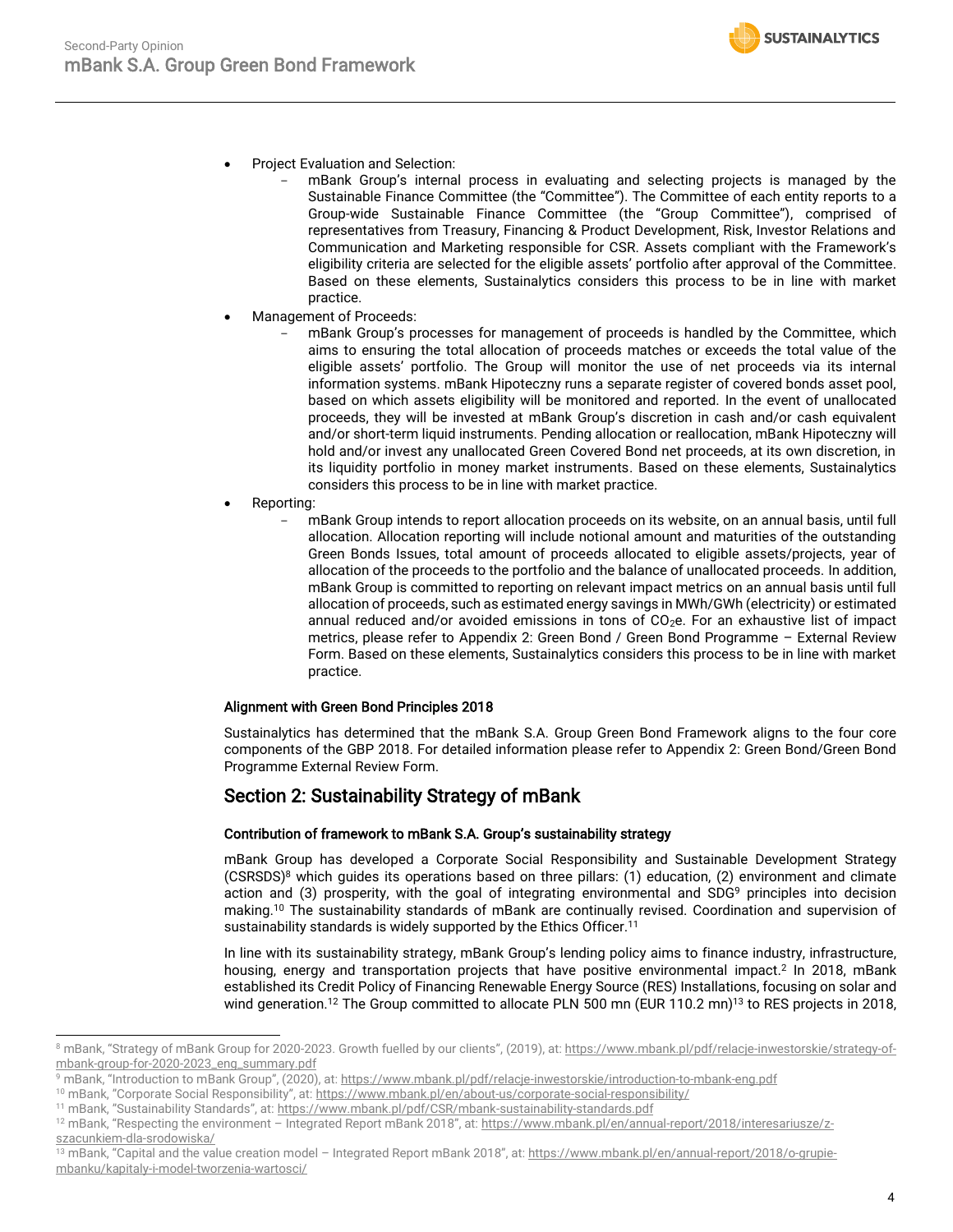- Project Evaluation and Selection:
	- mBank Group's internal process in evaluating and selecting projects is managed by the Sustainable Finance Committee (the "Committee"). The Committee of each entity reports to a Group-wide Sustainable Finance Committee (the "Group Committee"), comprised of representatives from Treasury, Financing & Product Development, Risk, Investor Relations and Communication and Marketing responsible for CSR. Assets compliant with the Framework's eligibility criteria are selected for the eligible assets' portfolio after approval of the Committee. Based on these elements, Sustainalytics considers this process to be in line with market practice.
- Management of Proceeds:
	- mBank Group's processes for management of proceeds is handled by the Committee, which aims to ensuring the total allocation of proceeds matches or exceeds the total value of the eligible assets' portfolio. The Group will monitor the use of net proceeds via its internal information systems. mBank Hipoteczny runs a separate register of covered bonds asset pool, based on which assets eligibility will be monitored and reported. In the event of unallocated proceeds, they will be invested at mBank Group's discretion in cash and/or cash equivalent and/or short-term liquid instruments. Pending allocation or reallocation, mBank Hipoteczny will hold and/or invest any unallocated Green Covered Bond net proceeds, at its own discretion, in its liquidity portfolio in money market instruments. Based on these elements, Sustainalytics considers this process to be in line with market practice.
- Reporting:
	- mBank Group intends to report allocation proceeds on its website, on an annual basis, until full allocation. Allocation reporting will include notional amount and maturities of the outstanding Green Bonds Issues, total amount of proceeds allocated to eligible assets/projects, year of allocation of the proceeds to the portfolio and the balance of unallocated proceeds. In addition, mBank Group is committed to reporting on relevant impact metrics on an annual basis until full allocation of proceeds, such as estimated energy savings in MWh/GWh (electricity) or estimated annual reduced and/or avoided emissions in tons of  $CO<sub>2</sub>e$ . For an exhaustive list of impact metrics, please refer to Appendix 2: Green Bond / Green Bond Programme – External Review Form. Based on these elements, Sustainalytics considers this process to be in line with market practice.

#### Alignment with Green Bond Principles 2018

Sustainalytics has determined that the mBank S.A. Group Green Bond Framework aligns to the four core components of the GBP 2018. For detailed information please refer to Appendix 2: Green Bond/Green Bond Programme External Review Form.

#### Section 2: Sustainability Strategy of mBank

#### Contribution of framework to mBank S.A. Group's sustainability strategy

mBank Group has developed a Corporate Social Responsibility and Sustainable Development Strategy (CSRSDS) <sup>8</sup> which guides its operations based on three pillars: (1) education, (2) environment and climate action and (3) prosperity, with the goal of integrating environmental and SDG<sup>9</sup> principles into decision making. <sup>10</sup> The sustainability standards of mBank are continually revised. Coordination and supervision of sustainability standards is widely supported by the Ethics Officer.<sup>11</sup>

<span id="page-3-0"></span>In line with its sustainability strategy, mBank Group's lending policy aims to finance industry, infrastructure, housing, energy and transportation projects that have positive environmental impact.<sup>[2](#page-1-1)</sup> In 2018, mBank established its Credit Policy of Financing Renewable Energy Source (RES) Installations, focusing on solar and wind generation.<sup>12</sup> The Group committed to allocate PLN 500 mn (EUR 110.2 mn)<sup>13</sup> to RES projects in 2018,

- <sup>9</sup> mBank, "Introduction to mBank Group", (2020), at: <https://www.mbank.pl/pdf/relacje-inwestorskie/introduction-to-mbank-eng.pdf>
- <sup>10</sup> mBank, "Corporate Social Responsibility", at: <https://www.mbank.pl/en/about-us/corporate-social-responsibility/>

<sup>&</sup>lt;sup>8</sup> mBank, "Strategy of mBank Group for 2020-2023. Growth fuelled by our clients", (2019), at: [https://www.mbank.pl/pdf/relacje-inwestorskie/strategy-of](https://www.mbank.pl/pdf/relacje-inwestorskie/strategy-of-mbank-group-for-2020-2023_eng_summary.pdf)[mbank-group-for-2020-2023\\_eng\\_summary.pdf](https://www.mbank.pl/pdf/relacje-inwestorskie/strategy-of-mbank-group-for-2020-2023_eng_summary.pdf)

<sup>11</sup> mBank, "Sustainability Standards", at: <https://www.mbank.pl/pdf/CSR/mbank-sustainability-standards.pdf>

<sup>&</sup>lt;sup>12</sup> mBank, "Respecting the environment – Integrated Report mBank 2018", at: [https://www.mbank.pl/en/annual-report/2018/interesariusze/z](https://www.mbank.pl/en/annual-report/2018/interesariusze/z-szacunkiem-dla-srodowiska/)[szacunkiem-dla-srodowiska/](https://www.mbank.pl/en/annual-report/2018/interesariusze/z-szacunkiem-dla-srodowiska/)

<sup>&</sup>lt;sup>13</sup> mBank, "Capital and the value creation model - Integrated Report mBank 2018", at: [https://www.mbank.pl/en/annual-report/2018/o-grupie](https://www.mbank.pl/en/annual-report/2018/o-grupie-mbanku/kapitaly-i-model-tworzenia-wartosci/)[mbanku/kapitaly-i-model-tworzenia-wartosci/](https://www.mbank.pl/en/annual-report/2018/o-grupie-mbanku/kapitaly-i-model-tworzenia-wartosci/)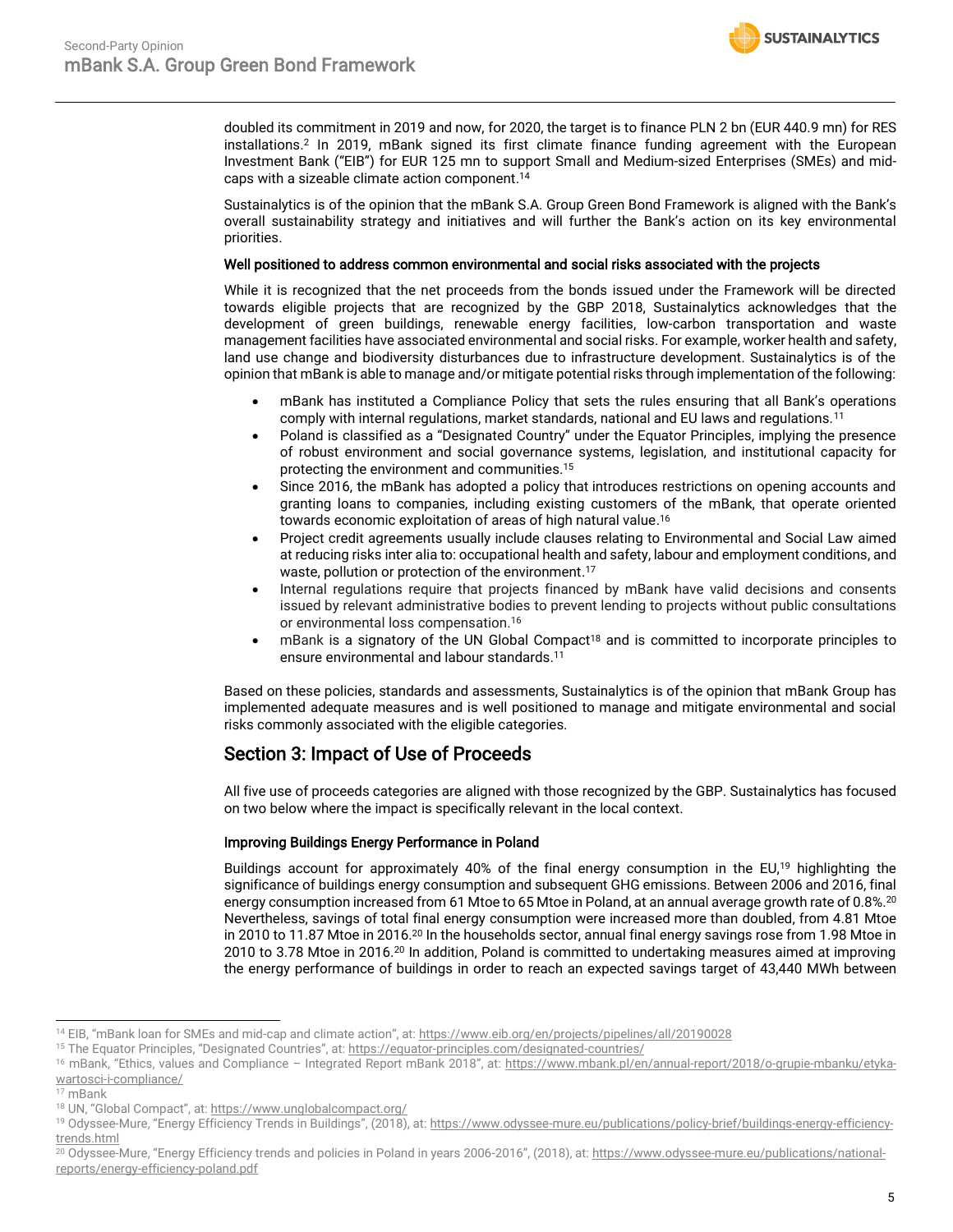doubled its commitment in 2019 and now, for 2020, the target is to finance PLN 2 bn (EUR 440.9 mn) for RES installations[.](#page-1-1) <sup>2</sup> In 2019, mBank signed its first climate finance funding agreement with the European Investment Bank ("EIB") for EUR 125 mn to support Small and Medium-sized Enterprises (SMEs) and midcaps with a sizeable climate action component. 14

**SUSTAINALYTICS** 

Sustainalytics is of the opinion that the mBank S.A. Group Green Bond Framework is aligned with the Bank's overall sustainability strategy and initiatives and will further the Bank's action on its key environmental priorities.

#### Well positioned to address common environmental and social risks associated with the projects

While it is recognized that the net proceeds from the bonds issued under the Framework will be directed towards eligible projects that are recognized by the GBP 2018, Sustainalytics acknowledges that the development of green buildings, renewable energy facilities, low-carbon transportation and waste management facilities have associated environmental and social risks. For example, worker health and safety, land use change and biodiversity disturbances due to infrastructure development. Sustainalytics is of the opinion that mBank is able to manage and/or mitigate potential risks through implementation of the following:

- mBank has instituted a Compliance Policy that sets the rules ensuring that all Bank's operations comply with internal regulations, market standards, national and EU laws and regulations.[11](#page-3-0)
- Poland is classified as a "Designated Country" under the Equator Principles, implying the presence of robust environment and social governance systems, legislation, and institutional capacity for protecting the environment and communities.<sup>15</sup>
- Since 2016, the mBank has adopted a policy that introduces restrictions on opening accounts and granting loans to companies, including existing customers of the mBank, that operate oriented towards economic exploitation of areas of high natural value. 16
- <span id="page-4-0"></span>• Project credit agreements usually include clauses relating to Environmental and Social Law aimed at reducing risks inter alia to: occupational health and safety, labour and employment conditions, and waste, pollution or protection of the environment. 17
- Internal regulations require that projects financed by mBank have valid decisions and consents issued by relevant administrative bodies to prevent lending to projects without public consultations or environmental loss compensation. [16](#page-4-0)
- mBank is a signatory of the UN Global Compact<sup>18</sup> and is committed to incorporate principles to ensure environmental and labour standards.[11](#page-3-0)

Based on these policies, standards and assessments, Sustainalytics is of the opinion that mBank Group has implemented adequate measures and is well positioned to manage and mitigate environmental and social risks commonly associated with the eligible categories.

#### Section 3: Impact of Use of Proceeds

All five use of proceeds categories are aligned with those recognized by the GBP. Sustainalytics has focused on two below where the impact is specifically relevant in the local context.

#### Improving Buildings Energy Performance in Poland

<span id="page-4-1"></span>Buildings account for approximately 40% of the final energy consumption in the EU,<sup>19</sup> highlighting the significance of buildings energy consumption and subsequent GHG emissions. Between 2006 and 2016, final energy consumption increased from 61 Mtoe to 65 Mtoe in Poland, at an annual average growth rate of 0.8%.<sup>[20](#page-4-1)</sup> Nevertheless, savings of total final energy consumption were increased more than doubled, from 4.81 Mtoe in 2010 to 11.87 Mtoe in 2016.<sup>20</sup> In the households sector, annual final energy savings rose from 1.98 Mtoe in 2010 to 3.78 Mtoe in 2016.[20](#page-4-1) In addition, Poland is committed to undertaking measures aimed at improving the energy performance of buildings in order to reach an expected savings target of 43,440 MWh between

<sup>14</sup> EIB, "mBank loan for SMEs and mid-cap and climate action", at: <https://www.eib.org/en/projects/pipelines/all/20190028>

<sup>&</sup>lt;sup>15</sup> The Equator Principles, "Designated Countries", at: <https://equator-principles.com/designated-countries/>

<sup>&</sup>lt;sup>16</sup> mBank, "Ethics, values and Compliance - Integrated Report mBank 2018", at: [https://www.mbank.pl/en/annual-report/2018/o-grupie-mbanku/etyka](https://www.mbank.pl/en/annual-report/2018/o-grupie-mbanku/etyka-wartosci-i-compliance/)[wartosci-i-compliance/](https://www.mbank.pl/en/annual-report/2018/o-grupie-mbanku/etyka-wartosci-i-compliance/)

<sup>17</sup> mBank

<sup>18</sup> UN, "Global Compact", at: <https://www.unglobalcompact.org/>

<sup>&</sup>lt;sup>19</sup> Odyssee-Mure, "Energy Efficiency Trends in Buildings", (2018), at: [https://www.odyssee-mure.eu/publications/policy-brief/buildings-energy-efficiency](https://www.odyssee-mure.eu/publications/policy-brief/buildings-energy-efficiency-trends.html)[trends.html](https://www.odyssee-mure.eu/publications/policy-brief/buildings-energy-efficiency-trends.html)

<sup>&</sup>lt;sup>20</sup> Odyssee-Mure, "Energy Efficiency trends and policies in Poland in years 2006-2016", (2018), at: [https://www.odyssee-mure.eu/publications/national](https://www.odyssee-mure.eu/publications/national-reports/energy-efficiency-poland.pdf)[reports/energy-efficiency-poland.pdf](https://www.odyssee-mure.eu/publications/national-reports/energy-efficiency-poland.pdf)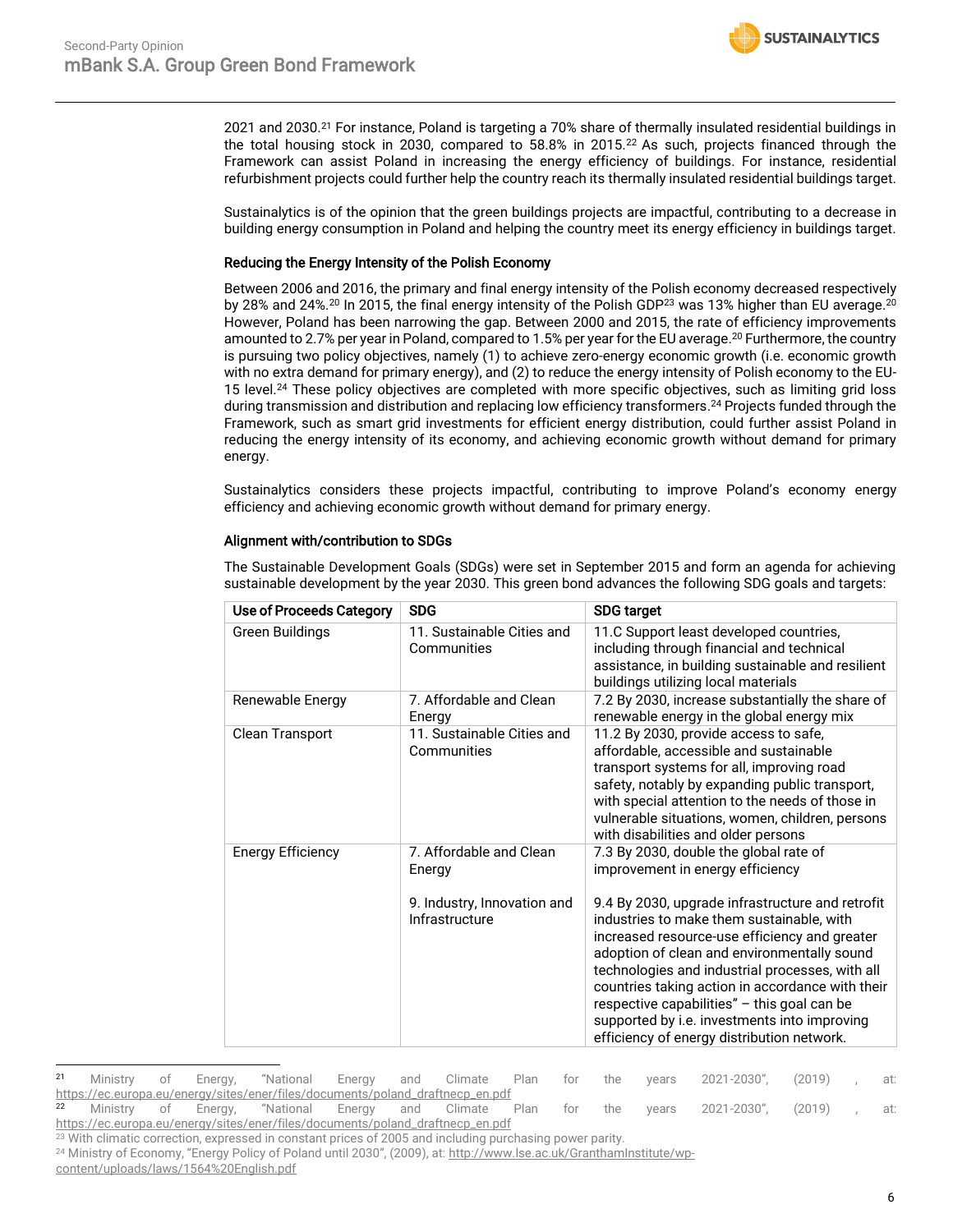**SUSTAINALYTICS** 

2021 and 2030.<sup>21</sup> For instance, Poland is targeting a 70% share of thermally insulated residential buildings in the total housing stock in 2030, compared to 58.8% in 2015.<sup>22</sup> As such, projects financed through the Framework can assist Poland in increasing the energy efficiency of buildings. For instance, residential refurbishment projects could further help the country reach its thermally insulated residential buildings target.

Sustainalytics is of the opinion that the green buildings projects are impactful, contributing to a decrease in building energy consumption in Poland and helping the country meet its energy efficiency in buildings target.

#### Reducing the Energy Intensity of the Polish Economy

<span id="page-5-0"></span>Between 2006 and 2016, the primary and final energy intensity of the Polish economy decreased respectively by 28% and 24%. $^{20}$  $^{20}$  $^{20}$  In 2015, the final energy intensity of the Polish GDP $^{23}$  was 13% higher than EU average. $^{20}$ However, Poland has been narrowing the gap. Between 2000 and 2015, the rate of efficiency improvements amounted to 2.7% per year in Poland, compared to 1.5% per year for the EU average. [20](#page-4-1) Furthermore, the country is pursuing two policy objectives, namely (1) to achieve zero-energy economic growth (i.e. economic growth with no extra demand for primary energy), and (2) to reduce the energy intensity of Polish economy to the EU-15 level.<sup>24</sup> These policy objectives are completed with more specific objectives, such as limiting grid loss during transmission and distribution and replacing low efficiency transformers. [24](#page-5-0) Projects funded through the Framework, such as smart grid investments for efficient energy distribution, could further assist Poland in reducing the energy intensity of its economy, and achieving economic growth without demand for primary energy.

Sustainalytics considers these projects impactful, contributing to improve Poland's economy energy efficiency and achieving economic growth without demand for primary energy.

#### Alignment with/contribution to SDGs

Use of Proceeds Category SDG SDG SDG SDG target Green Buildings 11. Sustainable Cities and **Communities** 11.C Support least developed countries, including through financial and technical assistance, in building sustainable and resilient buildings utilizing local materials Renewable Energy 7. Affordable and Clean Energy 7.2 By 2030, increase substantially the share of renewable energy in the global energy mix Clean Transport 11. Sustainable Cities and **Communities** 11.2 By 2030, provide access to safe, affordable, accessible and sustainable transport systems for all, improving road safety, notably by expanding public transport, with special attention to the needs of those in vulnerable situations, women, children, persons with disabilities and older persons Energy Efficiency 2. Affordable and Clean Energy 9. Industry, Innovation and Infrastructure 7.3 By 2030, double the global rate of improvement in energy efficiency 9.4 By 2030, upgrade infrastructure and retrofit industries to make them sustainable, with increased resource-use efficiency and greater adoption of clean and environmentally sound technologies and industrial processes, with all countries taking action in accordance with their respective capabilities" – this goal can be supported by i.e. investments into improving efficiency of energy distribution network.

The Sustainable Development Goals (SDGs) were set in September 2015 and form an agenda for achieving sustainable development by the year 2030. This green bond advances the following SDG goals and targets:

<sup>21</sup> Ministry of Energy, "National Energy and Climate Plan for the years 2021-2030", (2019) , at: [https://ec.europa.eu/energy/sites/ener/files/documents/poland\\_draftnecp\\_en.pdf](https://ec.europa.eu/energy/sites/ener/files/documents/poland_draftnecp_en.pdf)

<sup>22</sup> Ministry of Energy, "National Energy and Climate Plan for the years 2021-2030", (2019) , at: [https://ec.europa.eu/energy/sites/ener/files/documents/poland\\_draftnecp\\_en.pdf](https://ec.europa.eu/energy/sites/ener/files/documents/poland_draftnecp_en.pdf)<br><sup>23</sup> With climatic correction, expressed in constant prices of 2005 and including purc

With climatic correction, expressed in constant prices of 2005 and including purchasing power parity.

<sup>&</sup>lt;sup>24</sup> Ministry of Economy, "Energy Policy of Poland until 2030", (2009), at: [http://www.lse.ac.uk/GranthamInstitute/wp](http://www.lse.ac.uk/GranthamInstitute/wp-content/uploads/laws/1564%20English.pdf)[content/uploads/laws/1564%20English.pdf](http://www.lse.ac.uk/GranthamInstitute/wp-content/uploads/laws/1564%20English.pdf)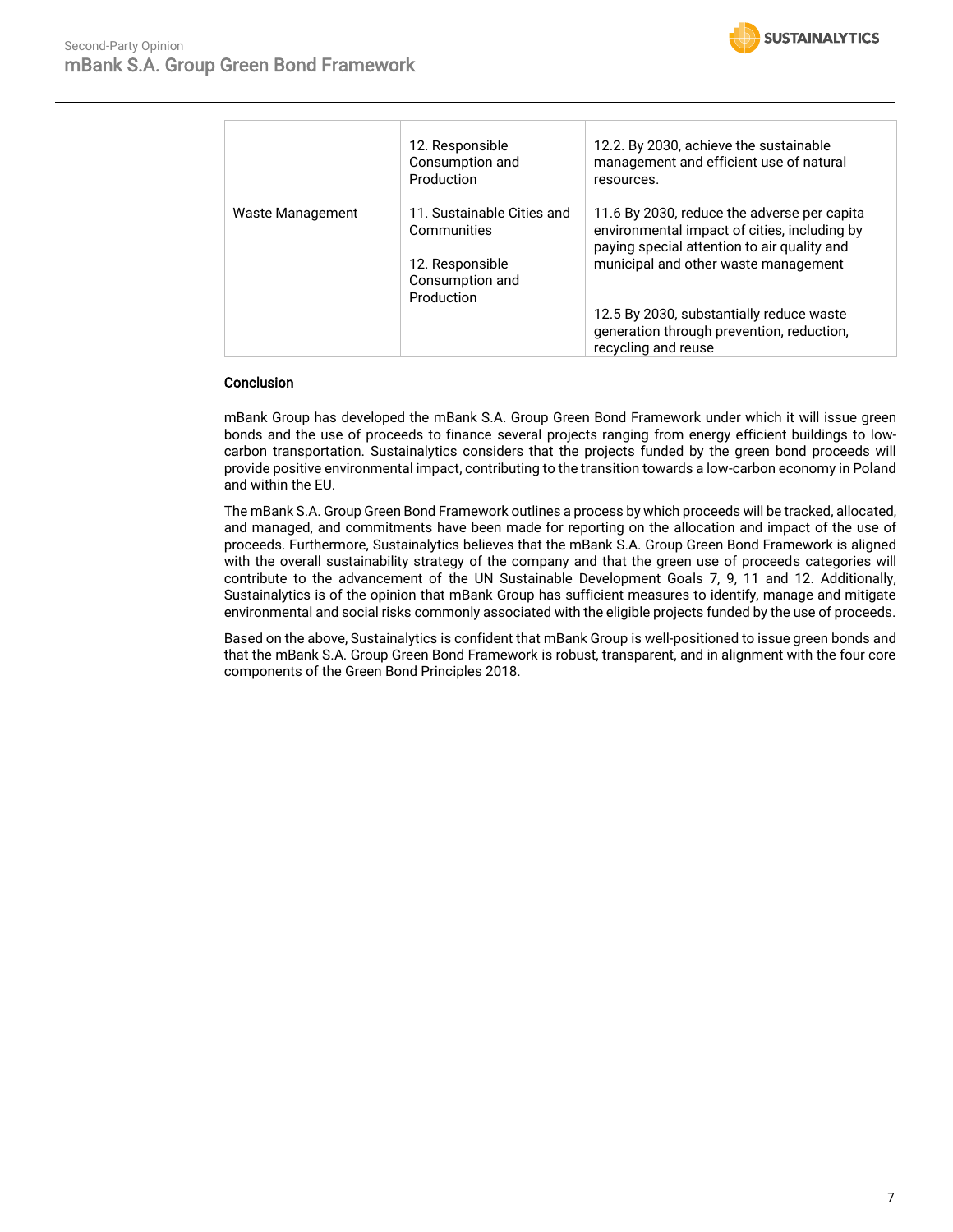

|                  | 12. Responsible<br>Consumption and<br>Production                                              | 12.2. By 2030, achieve the sustainable<br>management and efficient use of natural<br>resources.                                                                                    |
|------------------|-----------------------------------------------------------------------------------------------|------------------------------------------------------------------------------------------------------------------------------------------------------------------------------------|
| Waste Management | 11. Sustainable Cities and<br>Communities<br>12. Responsible<br>Consumption and<br>Production | 11.6 By 2030, reduce the adverse per capita<br>environmental impact of cities, including by<br>paying special attention to air quality and<br>municipal and other waste management |
|                  |                                                                                               | 12.5 By 2030, substantially reduce waste<br>generation through prevention, reduction,<br>recycling and reuse                                                                       |

#### **Conclusion**

mBank Group has developed the mBank S.A. Group Green Bond Framework under which it will issue green bonds and the use of proceeds to finance several projects ranging from energy efficient buildings to lowcarbon transportation. Sustainalytics considers that the projects funded by the green bond proceeds will provide positive environmental impact, contributing to the transition towards a low-carbon economy in Poland and within the EU.

The mBank S.A. Group Green Bond Framework outlines a process by which proceeds will be tracked, allocated, and managed, and commitments have been made for reporting on the allocation and impact of the use of proceeds. Furthermore, Sustainalytics believes that the mBank S.A. Group Green Bond Framework is aligned with the overall sustainability strategy of the company and that the green use of proceeds categories will contribute to the advancement of the UN Sustainable Development Goals 7, 9, 11 and 12. Additionally, Sustainalytics is of the opinion that mBank Group has sufficient measures to identify, manage and mitigate environmental and social risks commonly associated with the eligible projects funded by the use of proceeds.

Based on the above, Sustainalytics is confident that mBank Group is well-positioned to issue green bonds and that the mBank S.A. Group Green Bond Framework is robust, transparent, and in alignment with the four core components of the Green Bond Principles 2018.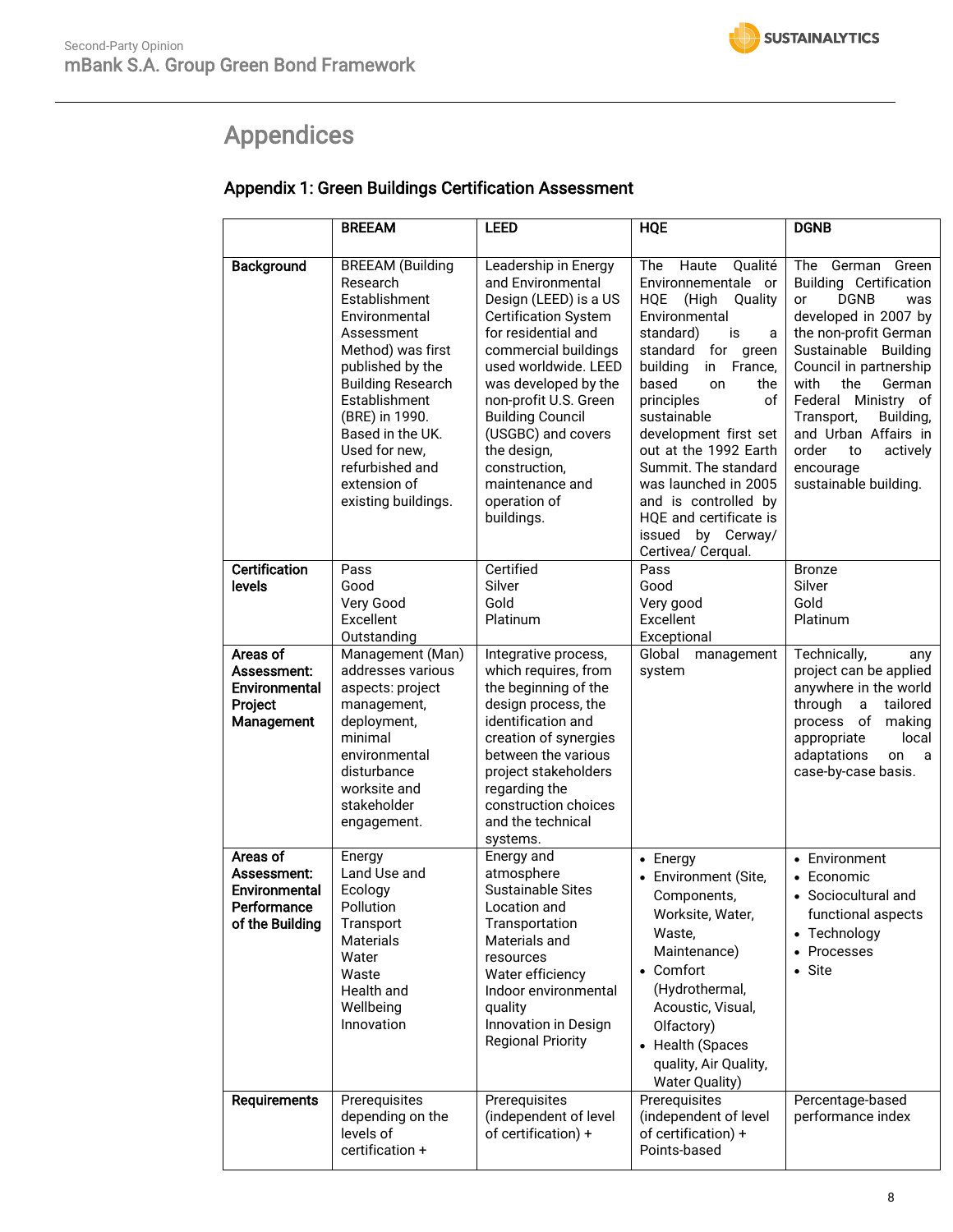# <span id="page-7-0"></span>Appendices

|                                                                            | <b>BREEAM</b>                                                                                                                                                                                                                                                                              | <b>LEED</b>                                                                                                                                                                                                                                                                                                                                                 | <b>HQE</b>                                                                                                                                                                                                                                                                                                                                                                                                                                    | <b>DGNB</b>                                                                                                                                                                                                                                                                                                                                                       |
|----------------------------------------------------------------------------|--------------------------------------------------------------------------------------------------------------------------------------------------------------------------------------------------------------------------------------------------------------------------------------------|-------------------------------------------------------------------------------------------------------------------------------------------------------------------------------------------------------------------------------------------------------------------------------------------------------------------------------------------------------------|-----------------------------------------------------------------------------------------------------------------------------------------------------------------------------------------------------------------------------------------------------------------------------------------------------------------------------------------------------------------------------------------------------------------------------------------------|-------------------------------------------------------------------------------------------------------------------------------------------------------------------------------------------------------------------------------------------------------------------------------------------------------------------------------------------------------------------|
|                                                                            |                                                                                                                                                                                                                                                                                            |                                                                                                                                                                                                                                                                                                                                                             |                                                                                                                                                                                                                                                                                                                                                                                                                                               |                                                                                                                                                                                                                                                                                                                                                                   |
| Background                                                                 | <b>BREEAM</b> (Building<br>Research<br>Establishment<br>Environmental<br>Assessment<br>Method) was first<br>published by the<br><b>Building Research</b><br>Establishment<br>(BRE) in 1990.<br>Based in the UK.<br>Used for new,<br>refurbished and<br>extension of<br>existing buildings. | Leadership in Energy<br>and Environmental<br>Design (LEED) is a US<br><b>Certification System</b><br>for residential and<br>commercial buildings<br>used worldwide. LEED<br>was developed by the<br>non-profit U.S. Green<br><b>Building Council</b><br>(USGBC) and covers<br>the design,<br>construction,<br>maintenance and<br>operation of<br>buildings. | <b>The</b><br>Haute<br>Qualité<br>Environnementale<br>or<br>(High<br>HQE<br>Quality<br>Environmental<br>standard)<br>is<br>a<br>standard<br>for green<br>building<br>in<br>France,<br>based<br>the<br>on<br>principles<br>of<br>sustainable<br>development first set<br>out at the 1992 Earth<br>Summit. The standard<br>was launched in 2005<br>and is controlled by<br>HQE and certificate is<br>by Cerway/<br>issued<br>Certivea/ Cerqual. | German Green<br>The<br><b>Building Certification</b><br><b>DGNB</b><br>or<br>was<br>developed in 2007 by<br>the non-profit German<br>Sustainable<br><b>Building</b><br>Council in partnership<br>with<br>the<br>German<br>Federal Ministry of<br>Transport,<br>Building,<br>and Urban Affairs in<br>order<br>actively<br>to<br>encourage<br>sustainable building. |
| <b>Certification</b>                                                       | Pass                                                                                                                                                                                                                                                                                       | Certified                                                                                                                                                                                                                                                                                                                                                   | Pass                                                                                                                                                                                                                                                                                                                                                                                                                                          | <b>Bronze</b>                                                                                                                                                                                                                                                                                                                                                     |
| levels                                                                     | Good<br>Very Good<br>Excellent<br>Outstanding                                                                                                                                                                                                                                              | Silver<br>Gold<br>Platinum                                                                                                                                                                                                                                                                                                                                  | Good<br>Very good<br>Excellent<br>Exceptional                                                                                                                                                                                                                                                                                                                                                                                                 | <b>Silver</b><br>Gold<br>Platinum                                                                                                                                                                                                                                                                                                                                 |
| Areas of                                                                   | Management (Man)                                                                                                                                                                                                                                                                           | Integrative process,                                                                                                                                                                                                                                                                                                                                        | Global<br>management                                                                                                                                                                                                                                                                                                                                                                                                                          | Technically,<br>any                                                                                                                                                                                                                                                                                                                                               |
| Assessment:<br>Environmental<br>Project<br>Management                      | addresses various<br>aspects: project<br>management,<br>deployment,<br>minimal<br>environmental<br>disturbance<br>worksite and<br>stakeholder<br>engagement.                                                                                                                               | which requires, from<br>the beginning of the<br>design process, the<br>identification and<br>creation of synergies<br>between the various<br>project stakeholders<br>regarding the<br>construction choices<br>and the technical<br>systems.                                                                                                                 | system                                                                                                                                                                                                                                                                                                                                                                                                                                        | project can be applied<br>anywhere in the world<br>through<br>tailored<br>a<br>process of<br>making<br>local<br>appropriate<br>adaptations<br>on<br>a<br>case-by-case basis.                                                                                                                                                                                      |
| Areas of<br>Assessment:<br>Environmental<br>Performance<br>of the Building | Energy<br>Land Use and<br>Ecology<br>Pollution<br>Transport<br><b>Materials</b><br>Water<br>Waste<br>Health and<br>Wellbeing<br>Innovation                                                                                                                                                 | Energy and<br>atmosphere<br><b>Sustainable Sites</b><br>Location and<br>Transportation<br>Materials and<br>resources<br>Water efficiency<br>Indoor environmental<br>quality<br>Innovation in Design<br><b>Regional Priority</b>                                                                                                                             | • Energy<br>Environment (Site,<br>Components,<br>Worksite, Water,<br>Waste,<br>Maintenance)<br>• Comfort<br>(Hydrothermal,<br>Acoustic, Visual,<br>Olfactory)<br>• Health (Spaces<br>quality, Air Quality,<br><b>Water Quality)</b>                                                                                                                                                                                                           | • Environment<br>• Economic<br>• Sociocultural and<br>functional aspects<br>• Technology<br>• Processes<br>• Site                                                                                                                                                                                                                                                 |
| Requirements                                                               | Prerequisites<br>depending on the<br>levels of<br>certification +                                                                                                                                                                                                                          | Prerequisites<br>(independent of level<br>of certification) +                                                                                                                                                                                                                                                                                               | Prerequisites<br>(independent of level<br>of certification) +<br>Points-based                                                                                                                                                                                                                                                                                                                                                                 | Percentage-based<br>performance index                                                                                                                                                                                                                                                                                                                             |

### Appendix 1: Green Buildings Certification Assessment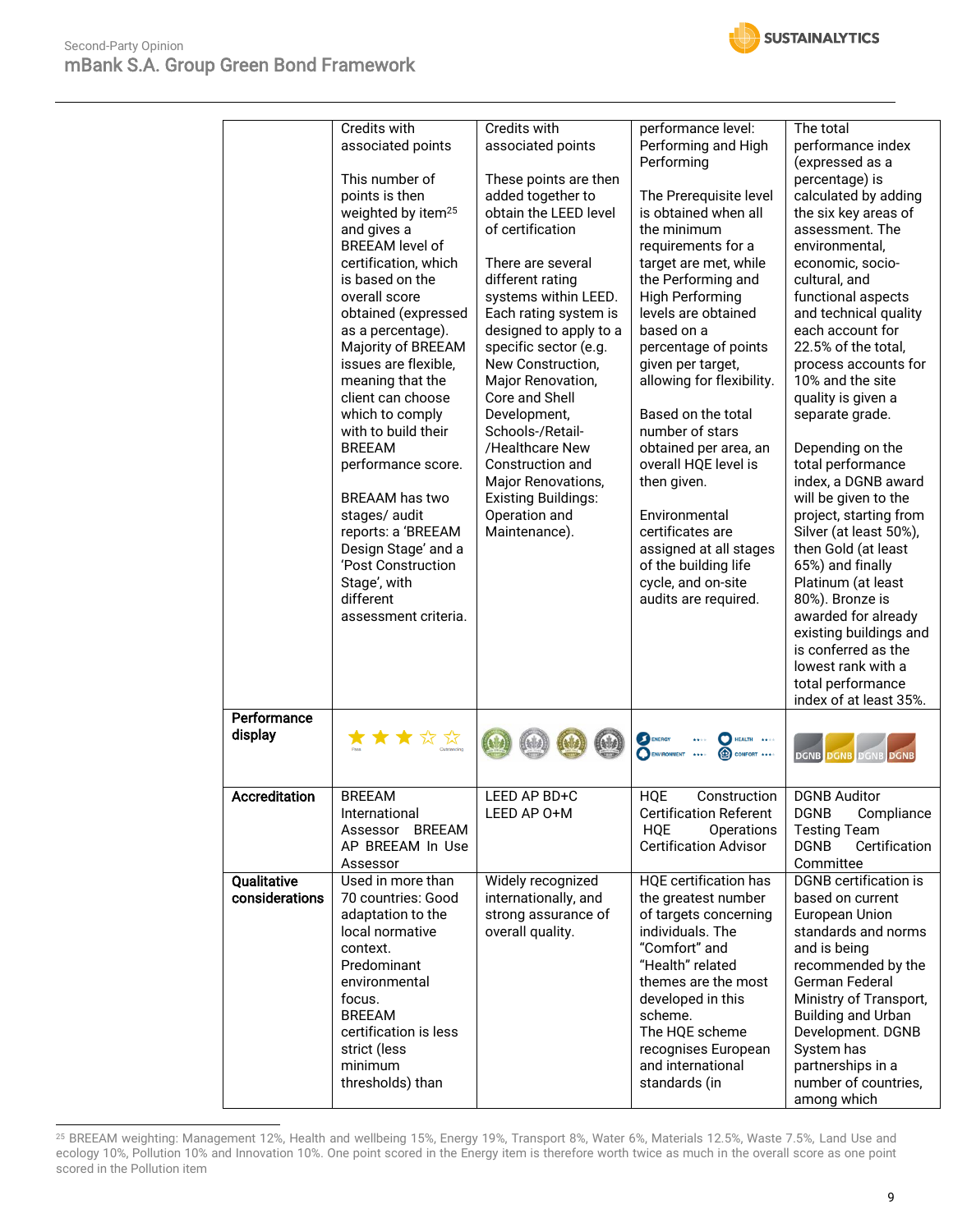

|                               | <b>Credits with</b><br>associated points<br>This number of<br>points is then<br>weighted by item <sup>25</sup><br>and gives a<br><b>BREEAM</b> level of<br>certification, which<br>is based on the<br>overall score<br>obtained (expressed<br>as a percentage).<br>Majority of BREEAM<br>issues are flexible,<br>meaning that the<br>client can choose<br>which to comply<br>with to build their<br><b>BREEAM</b><br>performance score.<br><b>BREAAM</b> has two<br>stages/audit<br>reports: a 'BREEAM<br>Design Stage' and a<br>'Post Construction<br>Stage', with<br>different<br>assessment criteria. | Credits with<br>associated points<br>These points are then<br>added together to<br>obtain the LEED level<br>of certification<br>There are several<br>different rating<br>systems within LEED.<br>Each rating system is<br>designed to apply to a<br>specific sector (e.g.<br>New Construction,<br>Major Renovation,<br>Core and Shell<br>Development,<br>Schools-/Retail-<br>/Healthcare New<br>Construction and<br>Major Renovations,<br><b>Existing Buildings:</b><br>Operation and<br>Maintenance). | performance level:<br>Performing and High<br>Performing<br>The Prerequisite level<br>is obtained when all<br>the minimum<br>requirements for a<br>target are met, while<br>the Performing and<br><b>High Performing</b><br>levels are obtained<br>based on a<br>percentage of points<br>given per target,<br>allowing for flexibility.<br>Based on the total<br>number of stars<br>obtained per area, an<br>overall HQE level is<br>then given.<br>Environmental<br>certificates are<br>assigned at all stages<br>of the building life<br>cycle, and on-site<br>audits are required. | The total<br>performance index<br>(expressed as a<br>percentage) is<br>calculated by adding<br>the six key areas of<br>assessment. The<br>environmental.<br>economic, socio-<br>cultural, and<br>functional aspects<br>and technical quality<br>each account for<br>22.5% of the total,<br>process accounts for<br>10% and the site<br>quality is given a<br>separate grade.<br>Depending on the<br>total performance<br>index, a DGNB award<br>will be given to the<br>project, starting from<br>Silver (at least 50%),<br>then Gold (at least<br>65%) and finally<br>Platinum (at least<br>80%). Bronze is<br>awarded for already<br>existing buildings and<br>is conferred as the<br>lowest rank with a<br>total performance<br>index of at least 35%. |
|-------------------------------|----------------------------------------------------------------------------------------------------------------------------------------------------------------------------------------------------------------------------------------------------------------------------------------------------------------------------------------------------------------------------------------------------------------------------------------------------------------------------------------------------------------------------------------------------------------------------------------------------------|--------------------------------------------------------------------------------------------------------------------------------------------------------------------------------------------------------------------------------------------------------------------------------------------------------------------------------------------------------------------------------------------------------------------------------------------------------------------------------------------------------|--------------------------------------------------------------------------------------------------------------------------------------------------------------------------------------------------------------------------------------------------------------------------------------------------------------------------------------------------------------------------------------------------------------------------------------------------------------------------------------------------------------------------------------------------------------------------------------|-----------------------------------------------------------------------------------------------------------------------------------------------------------------------------------------------------------------------------------------------------------------------------------------------------------------------------------------------------------------------------------------------------------------------------------------------------------------------------------------------------------------------------------------------------------------------------------------------------------------------------------------------------------------------------------------------------------------------------------------------------------|
| Performance<br>display        | ★★★☆☆                                                                                                                                                                                                                                                                                                                                                                                                                                                                                                                                                                                                    |                                                                                                                                                                                                                                                                                                                                                                                                                                                                                                        | ENERGY<br><b>HEALTH</b><br>COMFORT ****                                                                                                                                                                                                                                                                                                                                                                                                                                                                                                                                              | <b>DGNB DGNB DGNB DGNE</b>                                                                                                                                                                                                                                                                                                                                                                                                                                                                                                                                                                                                                                                                                                                                |
| <b>Accreditation</b>          | <b>BREEAM</b><br>International<br>Assessor BREEAM<br>AP BREEAM In Use<br>Assessor                                                                                                                                                                                                                                                                                                                                                                                                                                                                                                                        | LEED AP BD+C<br>LEED AP O+M                                                                                                                                                                                                                                                                                                                                                                                                                                                                            | <b>HQE</b><br>Construction<br><b>Certification Referent</b><br><b>HQE</b><br>Operations<br><b>Certification Advisor</b>                                                                                                                                                                                                                                                                                                                                                                                                                                                              | <b>DGNB Auditor</b><br><b>DGNB</b><br>Compliance<br><b>Testing Team</b><br>Certification<br><b>DGNB</b><br>Committee                                                                                                                                                                                                                                                                                                                                                                                                                                                                                                                                                                                                                                      |
| Qualitative<br>considerations | Used in more than<br>70 countries: Good<br>adaptation to the<br>local normative<br>context.<br>Predominant<br>environmental<br>focus.<br><b>BREEAM</b><br>certification is less<br>strict (less<br>minimum<br>thresholds) than                                                                                                                                                                                                                                                                                                                                                                           | Widely recognized<br>internationally, and<br>strong assurance of<br>overall quality.                                                                                                                                                                                                                                                                                                                                                                                                                   | <b>HQE</b> certification has<br>the greatest number<br>of targets concerning<br>individuals. The<br>"Comfort" and<br>"Health" related<br>themes are the most<br>developed in this<br>scheme.<br>The HQE scheme<br>recognises European<br>and international<br>standards (in                                                                                                                                                                                                                                                                                                          | <b>DGNB</b> certification is<br>based on current<br>European Union<br>standards and norms<br>and is being<br>recommended by the<br>German Federal<br>Ministry of Transport,<br>Building and Urban<br>Development. DGNB<br>System has<br>partnerships in a<br>number of countries,<br>among which                                                                                                                                                                                                                                                                                                                                                                                                                                                          |

<sup>25</sup> BREEAM weighting: Management 12%, Health and wellbeing 15%, Energy 19%, Transport 8%, Water 6%, Materials 12.5%, Waste 7.5%, Land Use and ecology 10%, Pollution 10% and Innovation 10%. One point scored in the Energy item is therefore worth twice as much in the overall score as one point scored in the Pollution item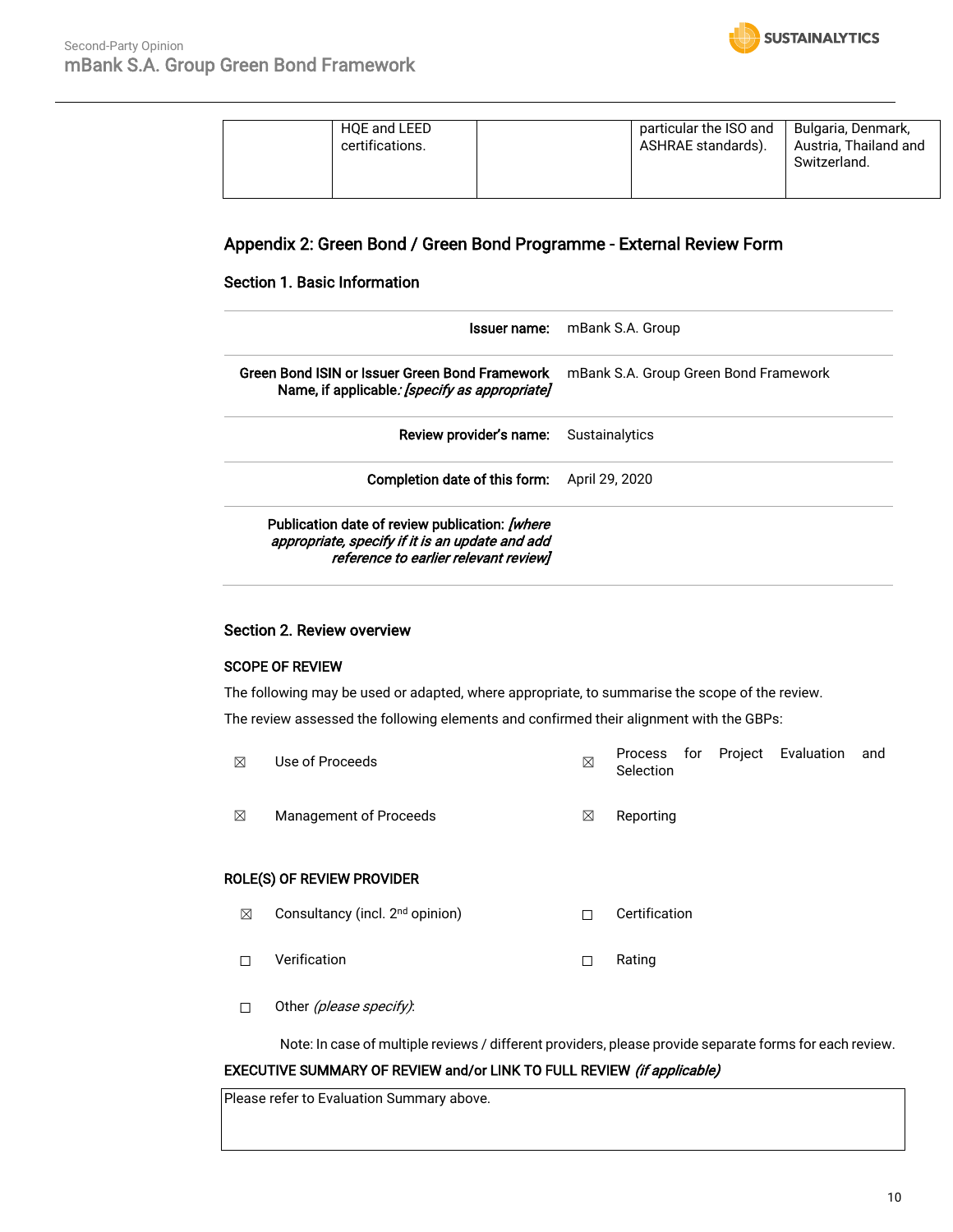

| HQE and LEED<br>certifications. | particular the ISO and<br>ASHRAE standards). | Bulgaria, Denmark,<br>Austria, Thailand and<br>Switzerland. |
|---------------------------------|----------------------------------------------|-------------------------------------------------------------|
|                                 |                                              |                                                             |

#### Appendix 2: Green Bond / Green Bond Programme - External Review Form

#### Section 1. Basic Information

| lssuer name:                                                                                                                               | mBank S.A. Group                      |
|--------------------------------------------------------------------------------------------------------------------------------------------|---------------------------------------|
| Green Bond ISIN or Issuer Green Bond Framework<br>Name, if applicable: [specify as appropriate]                                            | mBank S.A. Group Green Bond Framework |
| Review provider's name:                                                                                                                    | Sustainalytics                        |
| Completion date of this form:                                                                                                              | April 29, 2020                        |
| Publication date of review publication: [where<br>appropriate, specify if it is an update and add<br>reference to earlier relevant review] |                                       |

#### Section 2. Review overview

#### SCOPE OF REVIEW

The following may be used or adapted, where appropriate, to summarise the scope of the review. The review assessed the following elements and confirmed their alignment with the GBPs:

- $\boxtimes$  Use of Proceeds  $\boxtimes$ Process for Project Evaluation and Selection
- ☒ Management of Proceeds ☒ Reporting

#### ROLE(S) OF REVIEW PROVIDER

- ☒ Consultancy (incl. 2nd opinion) ☐ Certification
- ☐ Verification ☐ Rating
- □ Other (please specify):

Note: In case of multiple reviews / different providers, please provide separate forms for each review.

#### EXECUTIVE SUMMARY OF REVIEW and/or LINK TO FULL REVIEW (if applicable)

Please refer to Evaluation Summary above.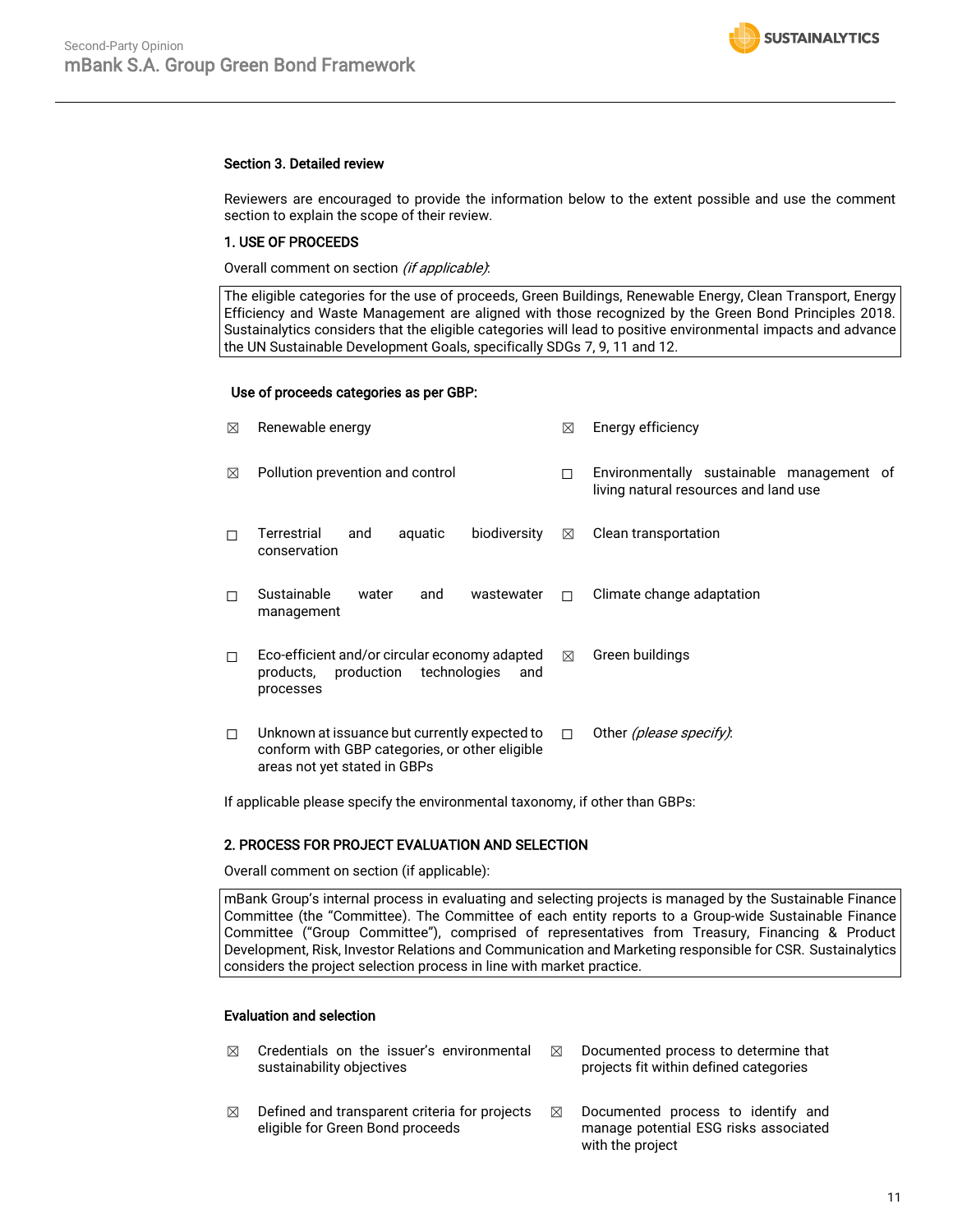#### Section 3. Detailed review

Reviewers are encouraged to provide the information below to the extent possible and use the comment section to explain the scope of their review.

#### 1. USE OF PROCEEDS

Overall comment on section (if applicable):

The eligible categories for the use of proceeds, Green Buildings, Renewable Energy, Clean Transport, Energy Efficiency and Waste Management are aligned with those recognized by the Green Bond Principles 2018. Sustainalytics considers that the eligible categories will lead to positive environmental impacts and advance the UN Sustainable Development Goals, specifically SDGs 7, 9, 11 and 12.

#### Use of proceeds categories as per GBP:

| ⊠ | Renewable energy                                                                                                                | ⊠           | Energy efficiency                                                                  |  |  |
|---|---------------------------------------------------------------------------------------------------------------------------------|-------------|------------------------------------------------------------------------------------|--|--|
| ⊠ | Pollution prevention and control                                                                                                | П           | Environmentally sustainable management of<br>living natural resources and land use |  |  |
|   | Terrestrial<br>biodiversity<br>aquatic<br>and<br>conservation                                                                   | $\boxtimes$ | Clean transportation                                                               |  |  |
|   | Sustainable<br>wastewater<br>water<br>and<br>management                                                                         | п           | Climate change adaptation                                                          |  |  |
| П | Eco-efficient and/or circular economy adapted<br>production<br>technologies<br>products,<br>and<br>processes                    | ⊠           | Green buildings                                                                    |  |  |
| п | Unknown at issuance but currently expected to<br>conform with GBP categories, or other eligible<br>areas not yet stated in GBPs | П           | Other <i>(please specify)</i> :                                                    |  |  |

If applicable please specify the environmental taxonomy, if other than GBPs:

#### 2. PROCESS FOR PROJECT EVALUATION AND SELECTION

Overall comment on section (if applicable):

mBank Group's internal process in evaluating and selecting projects is managed by the Sustainable Finance Committee (the "Committee). The Committee of each entity reports to a Group-wide Sustainable Finance Committee ("Group Committee"), comprised of representatives from Treasury, Financing & Product Development, Risk, Investor Relations and Communication and Marketing responsible for CSR. Sustainalytics considers the project selection process in line with market practice.

#### Evaluation and selection

- $\boxtimes$  Credentials on the issuer's environmental sustainability objectives
- $\boxtimes$  Defined and transparent criteria for projects eligible for Green Bond proceeds
- $\boxtimes$  Documented process to determine that projects fit within defined categories
- $\boxtimes$  Documented process to identify and manage potential ESG risks associated with the project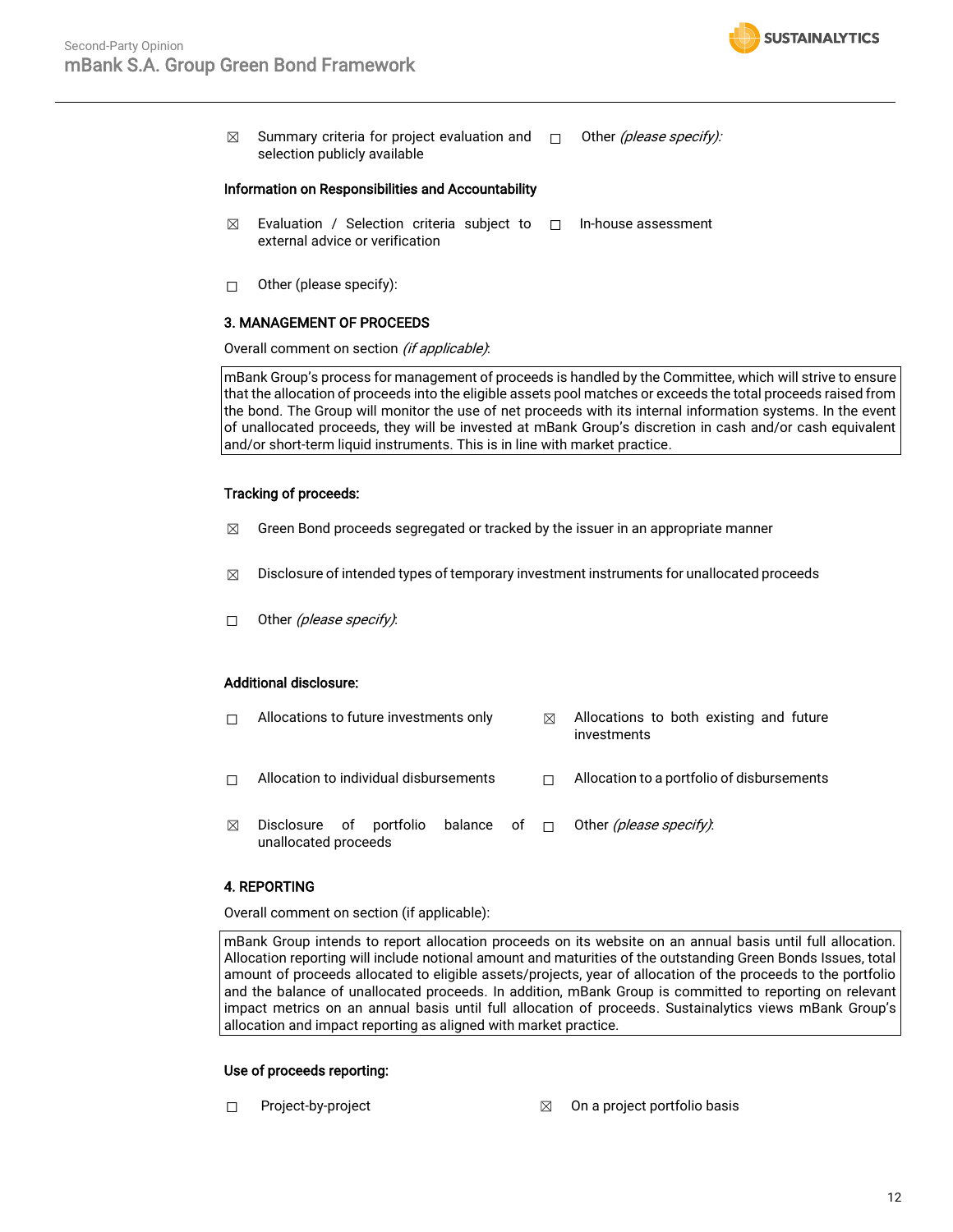

 $\boxtimes$  Summary criteria for project evaluation and  $\Box$ selection publicly available Other (please specify):

#### Information on Responsibilities and Accountability

- $\boxtimes$  Evaluation / Selection criteria subject to  $\Box$ external advice or verification ☐ In-house assessment
- ☐ Other (please specify):

#### 3. MANAGEMENT OF PROCEEDS

Overall comment on section (if applicable):

mBank Group's process for management of proceeds is handled by the Committee, which will strive to ensure that the allocation of proceeds into the eligible assets pool matches or exceeds the total proceeds raised from the bond. The Group will monitor the use of net proceeds with its internal information systems. In the event of unallocated proceeds, they will be invested at mBank Group's discretion in cash and/or cash equivalent and/or short-term liquid instruments. This is in line with market practice.

#### Tracking of proceeds:

- $\boxtimes$  Green Bond proceeds segregated or tracked by the issuer in an appropriate manner
- $\boxtimes$  Disclosure of intended types of temporary investment instruments for unallocated proceeds
- $\Box$  Other (please specify):

#### Additional disclosure:

| П | Allocations to future investments only          |                     | ⊠ | Allocations to both existing and future<br>investments |
|---|-------------------------------------------------|---------------------|---|--------------------------------------------------------|
| П | Allocation to individual disbursements          |                     |   | Allocation to a portfolio of disbursements             |
| ⊠ | Disclosure of portfolio<br>unallocated proceeds | balance of $\sqcap$ |   | Other <i>(please specify)</i> :                        |

#### 4. REPORTING

Overall comment on section (if applicable):

mBank Group intends to report allocation proceeds on its website on an annual basis until full allocation. Allocation reporting will include notional amount and maturities of the outstanding Green Bonds Issues, total amount of proceeds allocated to eligible assets/projects, year of allocation of the proceeds to the portfolio and the balance of unallocated proceeds. In addition, mBank Group is committed to reporting on relevant impact metrics on an annual basis until full allocation of proceeds. Sustainalytics views mBank Group's allocation and impact reporting as aligned with market practice.

#### Use of proceeds reporting:

- 
- ☐ Project-by-project ☒ On a project portfolio basis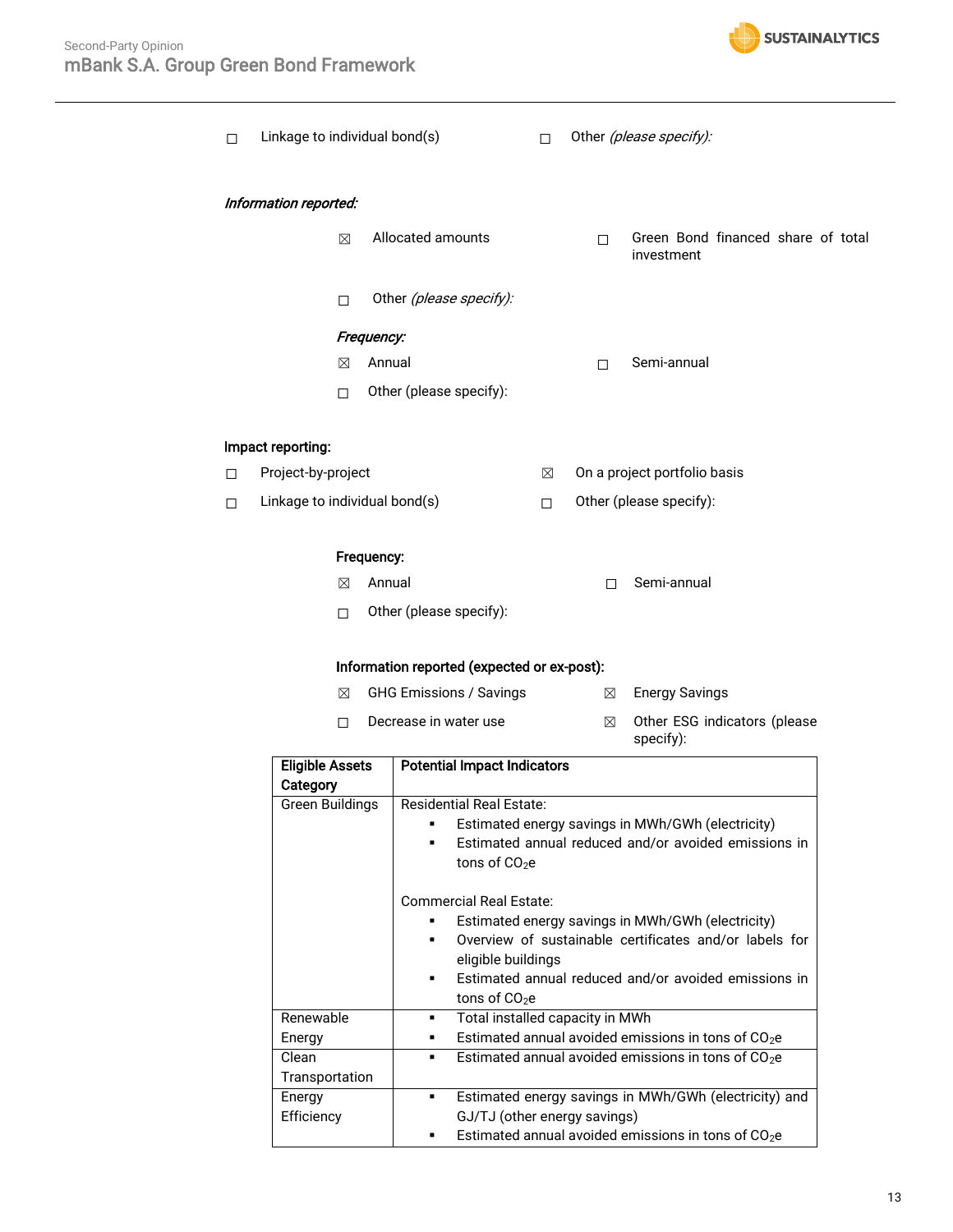

| □      |                       | Linkage to individual bond(s)               | П      |             | Other (please specify):                          |
|--------|-----------------------|---------------------------------------------|--------|-------------|--------------------------------------------------|
|        | Information reported: |                                             |        |             |                                                  |
|        | $\boxtimes$           | Allocated amounts                           |        | $\Box$      | Green Bond financed share of total<br>investment |
|        | □                     | Other (please specify):                     |        |             |                                                  |
|        |                       | Frequency:                                  |        |             |                                                  |
|        | $\boxtimes$           | Annual                                      |        | П           | Semi-annual                                      |
|        | $\Box$                | Other (please specify):                     |        |             |                                                  |
|        | Impact reporting:     |                                             |        |             |                                                  |
| $\Box$ | Project-by-project    |                                             | ⊠      |             | On a project portfolio basis                     |
| $\Box$ |                       | Linkage to individual bond(s)               | $\Box$ |             | Other (please specify):                          |
|        |                       | Frequency:                                  |        |             |                                                  |
|        | ⊠                     | Annual                                      |        | П           | Semi-annual                                      |
|        | П                     | Other (please specify):                     |        |             |                                                  |
|        |                       | Information reported (expected or ex-post): |        |             |                                                  |
|        | $\boxtimes$           | <b>GHG Emissions / Savings</b>              |        | ⊠           | <b>Energy Savings</b>                            |
|        | п                     | Decrease in water use                       |        | $\boxtimes$ | Other ESG indicators (please<br>specify):        |

| <b>Eligible Assets</b> | <b>Potential Impact Indicators</b>                        |
|------------------------|-----------------------------------------------------------|
| Category               |                                                           |
| Green Buildings        | <b>Residential Real Estate:</b>                           |
|                        | Estimated energy savings in MWh/GWh (electricity)         |
|                        | Estimated annual reduced and/or avoided emissions in      |
|                        | tons of $CO2e$                                            |
|                        | <b>Commercial Real Estate:</b>                            |
|                        | Estimated energy savings in MWh/GWh (electricity)         |
|                        | Overview of sustainable certificates and/or labels for    |
|                        | eligible buildings                                        |
|                        | Estimated annual reduced and/or avoided emissions in<br>٠ |
|                        | tons of $CO2e$                                            |
| Renewable              | Total installed capacity in MWh<br>٠                      |
| Energy                 | Estimated annual avoided emissions in tons of $CO2e$<br>٠ |
| Clean                  | Estimated annual avoided emissions in tons of $CO2e$<br>٠ |
| Transportation         |                                                           |
| Energy                 | Estimated energy savings in MWh/GWh (electricity) and     |
| Efficiency             | GJ/TJ (other energy savings)                              |
|                        | Estimated annual avoided emissions in tons of $CO2e$      |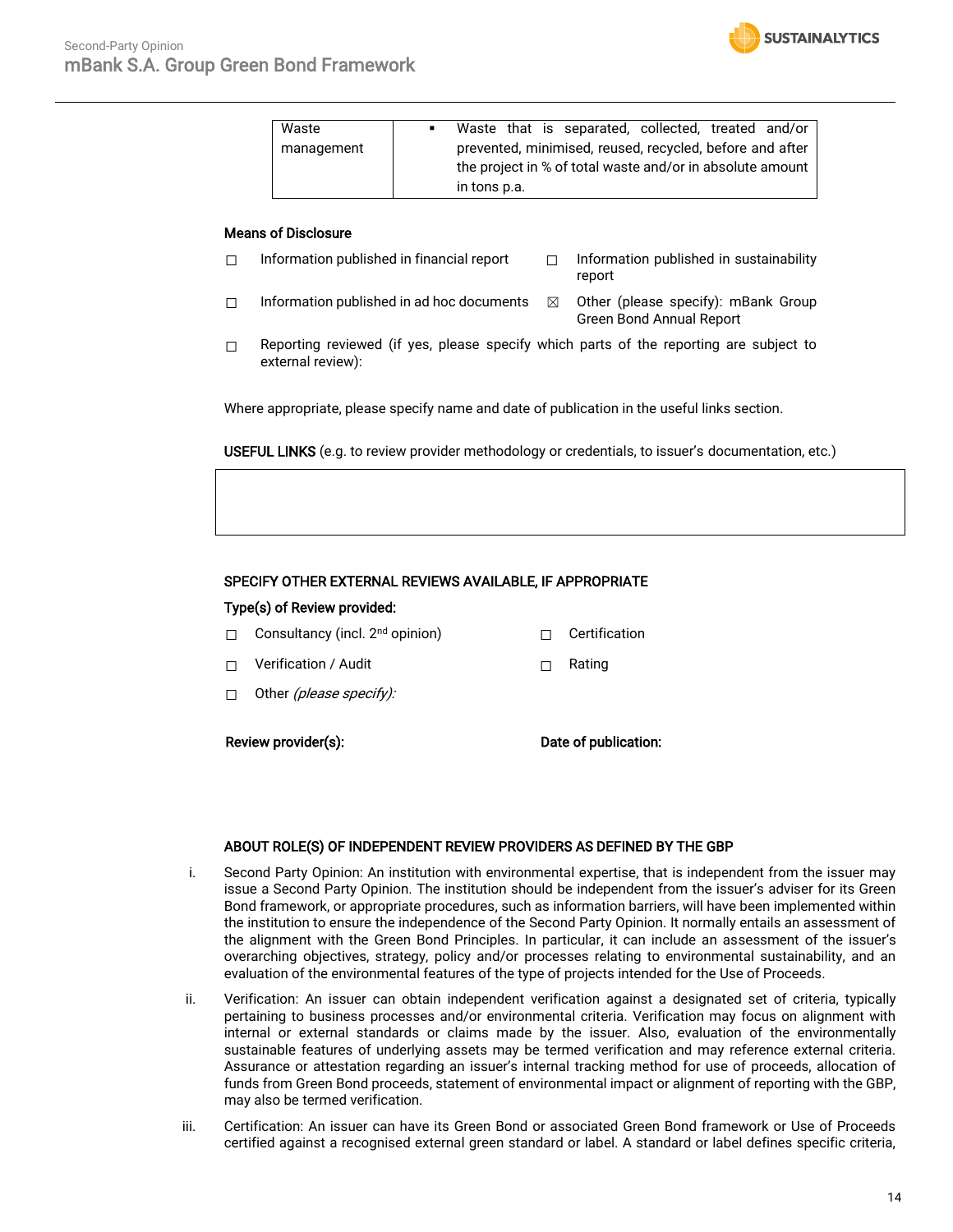| Waste      | л. |                                                           |  |  | Waste that is separated, collected, treated and/or |  |  |  |
|------------|----|-----------------------------------------------------------|--|--|----------------------------------------------------|--|--|--|
| management |    | prevented, minimised, reused, recycled, before and after  |  |  |                                                    |  |  |  |
|            |    | the project in % of total waste and/or in absolute amount |  |  |                                                    |  |  |  |
|            |    | in tons p.a.                                              |  |  |                                                    |  |  |  |

#### Means of Disclosure

☐ Information published in financial report ☐ Information published in sustainability report

**SUSTAINALYTICS** 

- $□$  Information published in ad hoc documents  $□$  Other (please specify): mBank Group Green Bond Annual Report
- $\Box$  Reporting reviewed (if yes, please specify which parts of the reporting are subject to external review):

Where appropriate, please specify name and date of publication in the useful links section.

USEFUL LINKS (e.g. to review provider methodology or credentials, to issuer's documentation, etc.)

#### SPECIFY OTHER EXTERNAL REVIEWS AVAILABLE, IF APPROPRIATE

#### Type(s) of Review provided:

- □ Consultancy (incl. 2<sup>nd</sup> opinion) □ Certification
- ☐ Verification / Audit ☐ Rating
- □ Other (please specify):

Review provider(s): The contraction of publication:

#### ABOUT ROLE(S) OF INDEPENDENT REVIEW PROVIDERS AS DEFINED BY THE GBP

- i. Second Party Opinion: An institution with environmental expertise, that is independent from the issuer may issue a Second Party Opinion. The institution should be independent from the issuer's adviser for its Green Bond framework, or appropriate procedures, such as information barriers, will have been implemented within the institution to ensure the independence of the Second Party Opinion. It normally entails an assessment of the alignment with the Green Bond Principles. In particular, it can include an assessment of the issuer's overarching objectives, strategy, policy and/or processes relating to environmental sustainability, and an evaluation of the environmental features of the type of projects intended for the Use of Proceeds.
- ii. Verification: An issuer can obtain independent verification against a designated set of criteria, typically pertaining to business processes and/or environmental criteria. Verification may focus on alignment with internal or external standards or claims made by the issuer. Also, evaluation of the environmentally sustainable features of underlying assets may be termed verification and may reference external criteria. Assurance or attestation regarding an issuer's internal tracking method for use of proceeds, allocation of funds from Green Bond proceeds, statement of environmental impact or alignment of reporting with the GBP, may also be termed verification.
- iii. Certification: An issuer can have its Green Bond or associated Green Bond framework or Use of Proceeds certified against a recognised external green standard or label. A standard or label defines specific criteria,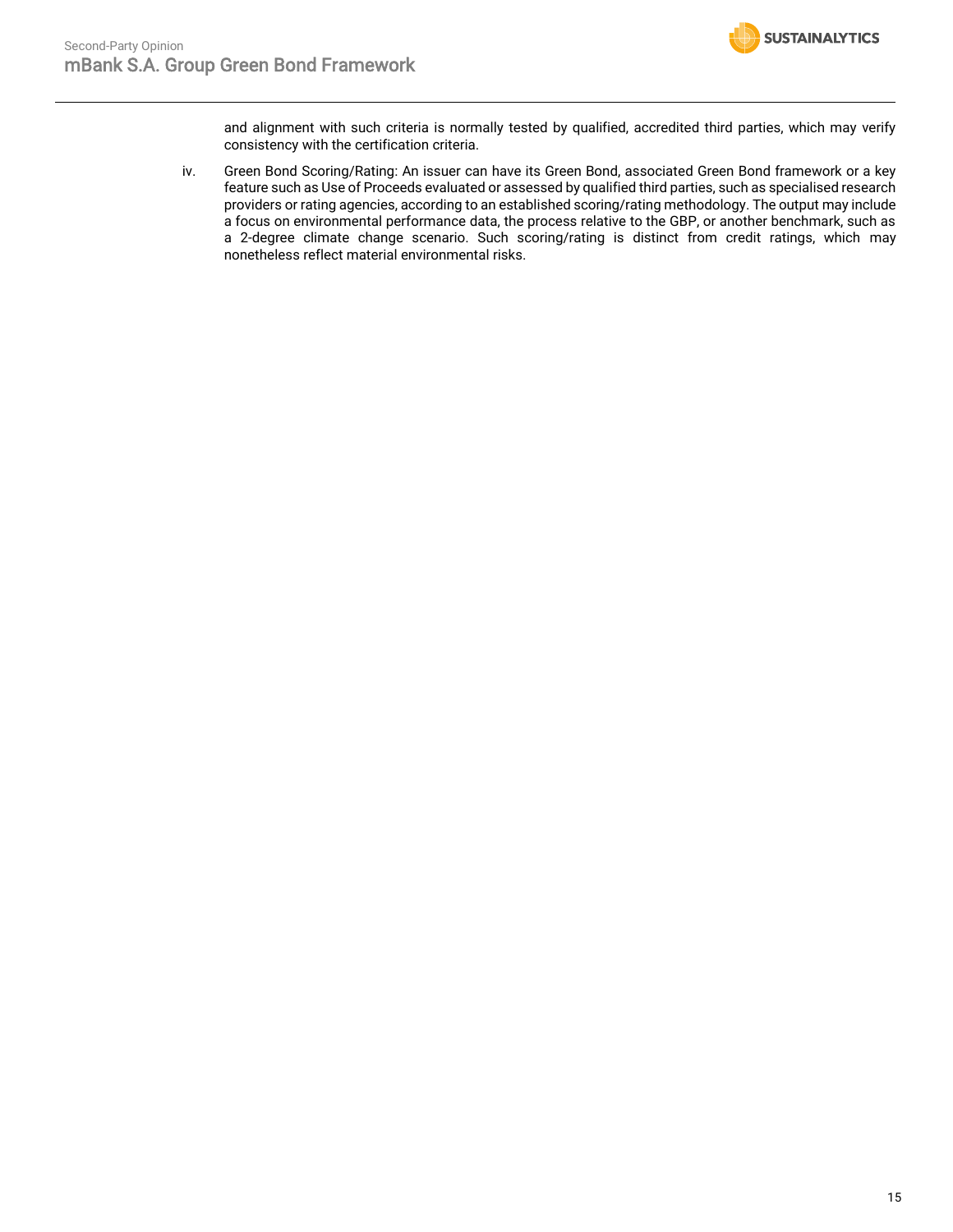

and alignment with such criteria is normally tested by qualified, accredited third parties, which may verify consistency with the certification criteria.

iv. Green Bond Scoring/Rating: An issuer can have its Green Bond, associated Green Bond framework or a key feature such as Use of Proceeds evaluated or assessed by qualified third parties, such as specialised research providers or rating agencies, according to an established scoring/rating methodology. The output may include a focus on environmental performance data, the process relative to the GBP, or another benchmark, such as a 2-degree climate change scenario. Such scoring/rating is distinct from credit ratings, which may nonetheless reflect material environmental risks.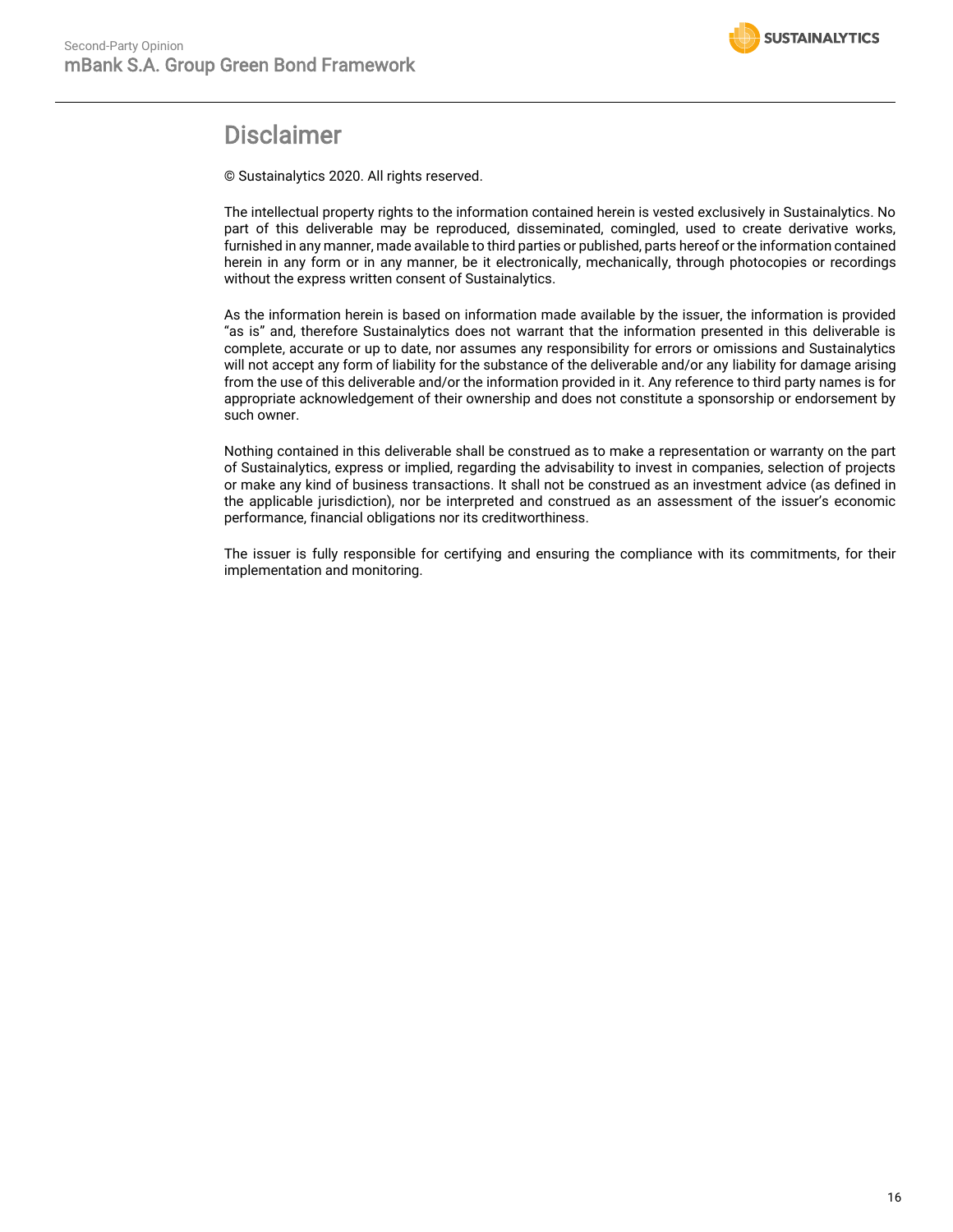

## Disclaimer

© Sustainalytics 2020. All rights reserved.

The intellectual property rights to the information contained herein is vested exclusively in Sustainalytics. No part of this deliverable may be reproduced, disseminated, comingled, used to create derivative works, furnished in any manner, made available to third parties or published, parts hereof or the information contained herein in any form or in any manner, be it electronically, mechanically, through photocopies or recordings without the express written consent of Sustainalytics.

As the information herein is based on information made available by the issuer, the information is provided "as is" and, therefore Sustainalytics does not warrant that the information presented in this deliverable is complete, accurate or up to date, nor assumes any responsibility for errors or omissions and Sustainalytics will not accept any form of liability for the substance of the deliverable and/or any liability for damage arising from the use of this deliverable and/or the information provided in it. Any reference to third party names is for appropriate acknowledgement of their ownership and does not constitute a sponsorship or endorsement by such owner.

Nothing contained in this deliverable shall be construed as to make a representation or warranty on the part of Sustainalytics, express or implied, regarding the advisability to invest in companies, selection of projects or make any kind of business transactions. It shall not be construed as an investment advice (as defined in the applicable jurisdiction), nor be interpreted and construed as an assessment of the issuer's economic performance, financial obligations nor its creditworthiness.

The issuer is fully responsible for certifying and ensuring the compliance with its commitments, for their implementation and monitoring.